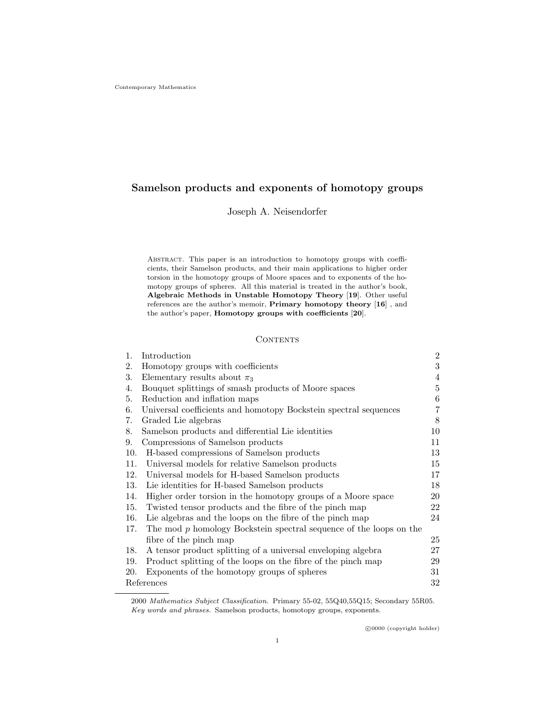# Samelson products and exponents of homotopy groups

Joseph A. Neisendorfer

Abstract. This paper is an introduction to homotopy groups with coefficients, their Samelson products, and their main applications to higher order torsion in the homotopy groups of Moore spaces and to exponents of the homotopy groups of spheres. All this material is treated in the author's book, Algebraic Methods in Unstable Homotopy Theory [19]. Other useful references are the author's memoir, Primary homotopy theory [16] , and the author's paper, Homotopy groups with coefficients [20].

# **CONTENTS**

| 1.  | Introduction                                                       | $\overline{2}$ |  |  |  |
|-----|--------------------------------------------------------------------|----------------|--|--|--|
| 2.  | Homotopy groups with coefficients                                  | 3              |  |  |  |
| 3.  | Elementary results about $\pi_3$                                   | 4              |  |  |  |
| 4.  | Bouquet splittings of smash products of Moore spaces               | 5              |  |  |  |
| 5.  | Reduction and inflation maps                                       | 6              |  |  |  |
| 6.  | Universal coefficients and homotopy Bockstein spectral sequences   | 7              |  |  |  |
| 7.  | Graded Lie algebras                                                | 8              |  |  |  |
| 8.  | Samelson products and differential Lie identities                  | 10             |  |  |  |
| 9.  | Compressions of Samelson products                                  | 11             |  |  |  |
| 10. | H-based compressions of Samelson products                          | 13             |  |  |  |
| 11. | Universal models for relative Samelson products                    | 15             |  |  |  |
| 12. | Universal models for H-based Samelson products                     | 17             |  |  |  |
| 13. | Lie identities for H-based Samelson products                       | 18             |  |  |  |
| 14. | Higher order torsion in the homotopy groups of a Moore space       | 20             |  |  |  |
| 15. | Twisted tensor products and the fibre of the pinch map             | 22             |  |  |  |
| 16. | Lie algebras and the loops on the fibre of the pinch map           | 24             |  |  |  |
| 17. | The mod p homology Bockstein spectral sequence of the loops on the |                |  |  |  |
|     | fibre of the pinch map                                             | 25             |  |  |  |
| 18. | A tensor product splitting of a universal enveloping algebra       | 27             |  |  |  |
| 19. | Product splitting of the loops on the fibre of the pinch map       | 29             |  |  |  |
| 20. | Exponents of the homotopy groups of spheres                        | 31             |  |  |  |
|     | References                                                         |                |  |  |  |

2000 Mathematics Subject Classification. Primary 55-02, 55Q40,55Q15; Secondary 55R05. Key words and phrases. Samelson products, homotopy groups, exponents.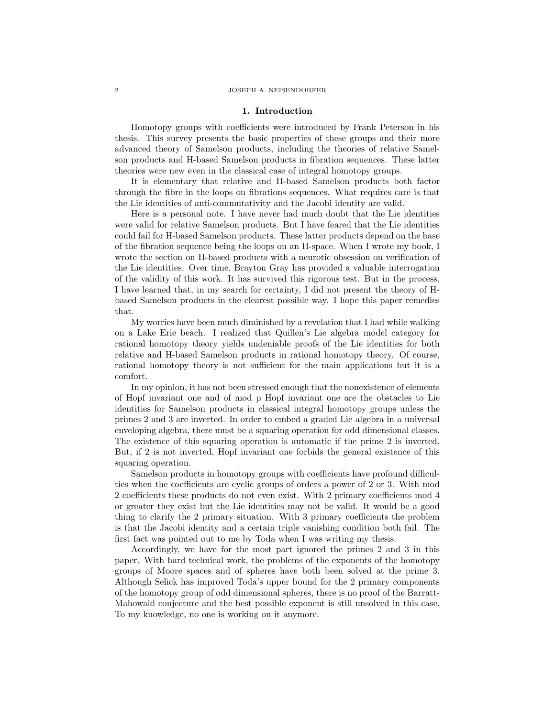#### 2 JOSEPH A. NEISENDORFER

#### 1. Introduction

Homotopy groups with coefficients were introduced by Frank Peterson in his thesis. This survey presents the basic properties of these groups and their more advanced theory of Samelson products, including the theories of relative Samelson products and H-based Samelson products in fibration sequences. These latter theories were new even in the classical case of integral homotopy groups.

It is elementary that relative and H-based Samelson products both factor through the fibre in the loops on fibrations sequences. What requires care is that the Lie identities of anti-commutativity and the Jacobi identity are valid.

Here is a personal note. I have never had much doubt that the Lie identities were valid for relative Samelson products. But I have feared that the Lie identities could fail for H-based Samelson products. These latter products depend on the base of the fibration sequence being the loops on an H-space. When I wrote my book, I wrote the section on H-based products with a neurotic obsession on verification of the Lie identities. Over time, Brayton Gray has provided a valuable interrogation of the validity of this work. It has survived this rigorous test. But in the process, I have learned that, in my search for certainty, I did not present the theory of Hbased Samelson products in the clearest possible way. I hope this paper remedies that.

My worries have been much diminished by a revelation that I had while walking on a Lake Erie beach. I realized that Quillen's Lie algebra model category for rational homotopy theory yields undeniable proofs of the Lie identities for both relative and H-based Samelson products in rational homotopy theory. Of course, rational homotopy theory is not sufficient for the main applications but it is a comfort.

In my opinion, it has not been stressed enough that the nonexistence of elements of Hopf invariant one and of mod p Hopf invariant one are the obstacles to Lie identities for Samelson products in classical integral homotopy groups unless the primes 2 and 3 are inverted. In order to embed a graded Lie algebra in a universal enveloping algebra, there must be a squaring operation for odd dimensional classes. The existence of this squaring operation is automatic if the prime 2 is inverted. But, if 2 is not inverted, Hopf invariant one forbids the general existence of this squaring operation.

Samelson products in homotopy groups with coefficients have profound difficulties when the coefficients are cyclic groups of orders a power of 2 or 3. With mod 2 coefficients these products do not even exist. With 2 primary coefficients mod 4 or greater they exist but the Lie identities may not be valid. It would be a good thing to clarify the 2 primary situation. With 3 primary coefficients the problem is that the Jacobi identity and a certain triple vanishing condition both fail. The first fact was pointed out to me by Toda when I was writing my thesis.

Accordingly, we have for the most part ignored the primes 2 and 3 in this paper. With hard technical work, the problems of the exponents of the homotopy groups of Moore spaces and of spheres have both been solved at the prime 3. Although Selick has improved Toda's upper bound for the 2 primary components of the homotopy group of odd dimensional spheres, there is no proof of the Barratt-Mahowald conjecture and the best possible exponent is still unsolved in this case. To my knowledge, no one is working on it anymore.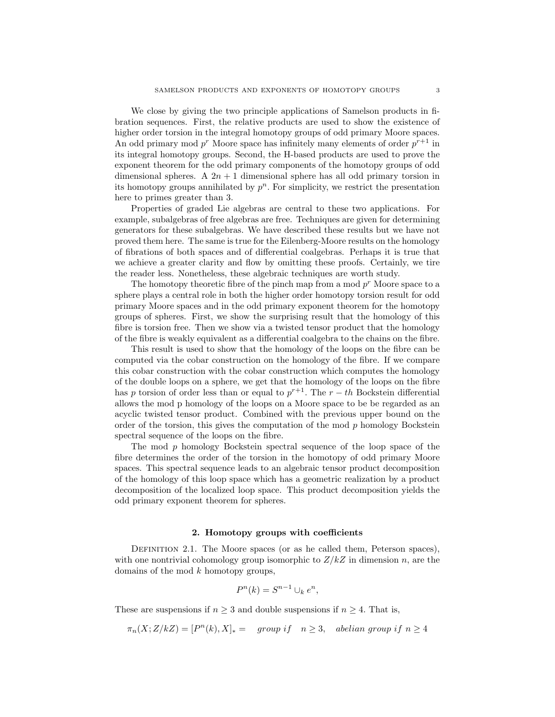We close by giving the two principle applications of Samelson products in fibration sequences. First, the relative products are used to show the existence of higher order torsion in the integral homotopy groups of odd primary Moore spaces. An odd primary mod  $p^r$  Moore space has infinitely many elements of order  $p^{r+1}$  in its integral homotopy groups. Second, the H-based products are used to prove the exponent theorem for the odd primary components of the homotopy groups of odd dimensional spheres. A  $2n + 1$  dimensional sphere has all odd primary torsion in its homotopy groups annihilated by  $p<sup>n</sup>$ . For simplicity, we restrict the presentation here to primes greater than 3.

Properties of graded Lie algebras are central to these two applications. For example, subalgebras of free algebras are free. Techniques are given for determining generators for these subalgebras. We have described these results but we have not proved them here. The same is true for the Eilenberg-Moore results on the homology of fibrations of both spaces and of differential coalgebras. Perhaps it is true that we achieve a greater clarity and flow by omitting these proofs. Certainly, we tire the reader less. Nonetheless, these algebraic techniques are worth study.

The homotopy theoretic fibre of the pinch map from a mod  $p<sup>r</sup>$  Moore space to a sphere plays a central role in both the higher order homotopy torsion result for odd primary Moore spaces and in the odd primary exponent theorem for the homotopy groups of spheres. First, we show the surprising result that the homology of this fibre is torsion free. Then we show via a twisted tensor product that the homology of the fibre is weakly equivalent as a differential coalgebra to the chains on the fibre.

This result is used to show that the homology of the loops on the fibre can be computed via the cobar construction on the homology of the fibre. If we compare this cobar construction with the cobar construction which computes the homology of the double loops on a sphere, we get that the homology of the loops on the fibre has p torsion of order less than or equal to  $p^{r+1}$ . The  $r-th$  Bockstein differential allows the mod p homology of the loops on a Moore space to be be regarded as an acyclic twisted tensor product. Combined with the previous upper bound on the order of the torsion, this gives the computation of the mod  $p$  homology Bockstein spectral sequence of the loops on the fibre.

The mod  $p$  homology Bockstein spectral sequence of the loop space of the fibre determines the order of the torsion in the homotopy of odd primary Moore spaces. This spectral sequence leads to an algebraic tensor product decomposition of the homology of this loop space which has a geometric realization by a product decomposition of the localized loop space. This product decomposition yields the odd primary exponent theorem for spheres.

#### 2. Homotopy groups with coefficients

DEFINITION 2.1. The Moore spaces (or as he called them, Peterson spaces), with one nontrivial cohomology group isomorphic to  $Z/kZ$  in dimension n, are the domains of the mod  $k$  homotopy groups,

$$
P^n(k) = S^{n-1} \cup_k e^n,
$$

These are suspensions if  $n \geq 3$  and double suspensions if  $n \geq 4$ . That is,

$$
\pi_n(X; Z/kZ) = [P^n(k), X]_* = \text{ group if } n \ge 3, \text{ abelian group if } n \ge 4
$$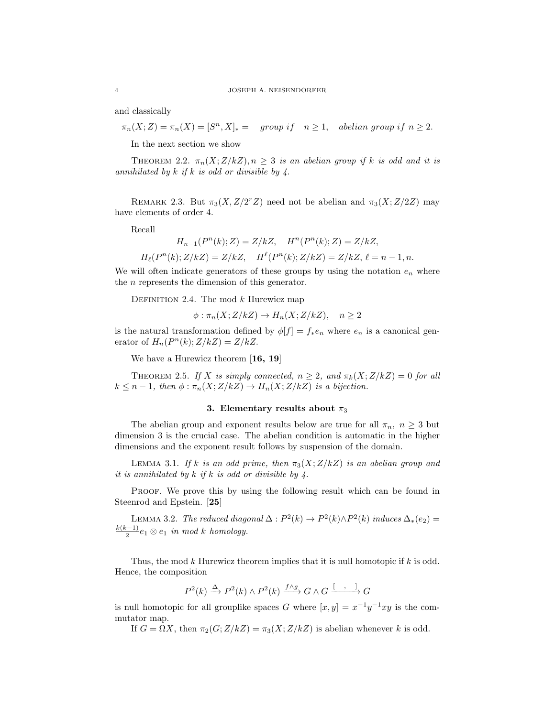and classically

 $\pi_n(X; Z) = \pi_n(X) = [S^n, X]_* = \text{ group if } n \geq 1, \text{ abelian group if } n \geq 2.$ 

In the next section we show

THEOREM 2.2.  $\pi_n(X; Z/kZ), n \geq 3$  is an abelian group if k is odd and it is annihilated by  $k$  if  $k$  is odd or divisible by  $4$ .

REMARK 2.3. But  $\pi_3(X, Z/2^r Z)$  need not be abelian and  $\pi_3(X; Z/2Z)$  may have elements of order 4.

Recall

$$
H_{n-1}(P^n(k); Z) = Z/kZ, \quad H^n(P^n(k); Z) = Z/kZ,
$$
  

$$
H_{\ell}(P^n(k); Z/kZ) = Z/kZ, \quad H^{\ell}(P^n(k); Z/kZ) = Z/kZ, \ell = n - 1, n.
$$

We will often indicate generators of these groups by using the notation  $e_n$  where the n represents the dimension of this generator.

DEFINITION 2.4. The mod  $k$  Hurewicz map

 $\phi: \pi_n(X; Z/kZ) \to H_n(X; Z/kZ), \quad n \geq 2$ 

is the natural transformation defined by  $\phi[f] = f_*e_n$  where  $e_n$  is a canonical generator of  $H_n(P^n(k); Z/kZ) = Z/kZ$ .

We have a Hurewicz theorem [16, 19]

THEOREM 2.5. If X is simply connected,  $n \geq 2$ , and  $\pi_k(X; Z/kZ) = 0$  for all  $k \leq n-1$ , then  $\phi : \pi_n(X; Z/kZ) \to H_n(X; Z/kZ)$  is a bijection.

### 3. Elementary results about  $\pi_3$

The abelian group and exponent results below are true for all  $\pi_n$ ,  $n \geq 3$  but dimension 3 is the crucial case. The abelian condition is automatic in the higher dimensions and the exponent result follows by suspension of the domain.

LEMMA 3.1. If k is an odd prime, then  $\pi_3(X;Z/kZ)$  is an abelian group and it is annihilated by  $k$  if  $k$  is odd or divisible by  $4$ .

PROOF. We prove this by using the following result which can be found in Steenrod and Epstein. [25]

LEMMA 3.2. The reduced diagonal  $\Delta : P^2(k) \to P^2(k) \wedge P^2(k)$  induces  $\Delta_*(e_2) =$  $k(k-1)$  $\frac{(-1)}{2}e_1\otimes e_1$  in mod k homology.

Thus, the mod  $k$  Hurewicz theorem implies that it is null homotopic if  $k$  is odd. Hence, the composition

$$
P^2(k) \xrightarrow{\Delta} P^2(k) \wedge P^2(k) \xrightarrow{f \wedge g} G \wedge G \xrightarrow{[ , \quad ]} G
$$

is null homotopic for all grouplike spaces G where  $[x, y] = x^{-1}y^{-1}xy$  is the commutator map.

If  $G = \Omega X$ , then  $\pi_2(G; Z/kZ) = \pi_3(X; Z/kZ)$  is abelian whenever k is odd.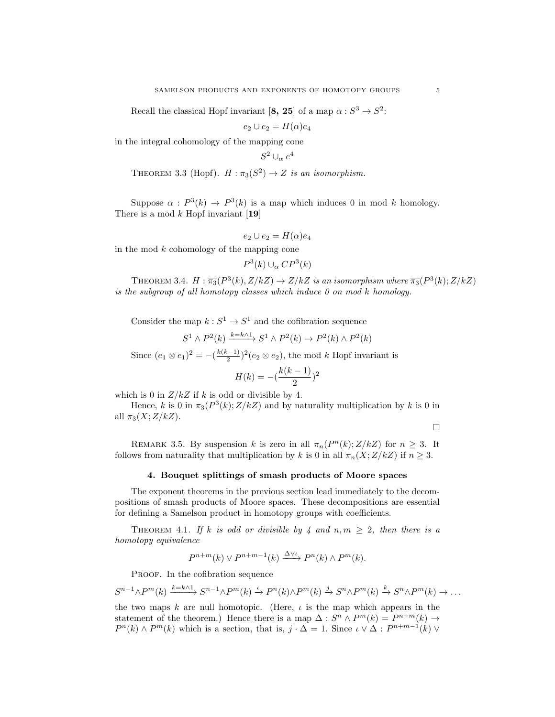Recall the classical Hopf invariant [8, 25] of a map  $\alpha : S^3 \to S^2$ :

$$
e_2 \cup e_2 = H(\alpha)e_4
$$

in the integral cohomology of the mapping cone

$$
S^2\cup_\alpha e^4
$$

THEOREM 3.3 (Hopf).  $H : \pi_3(S^2) \to Z$  is an isomorphism.

Suppose  $\alpha$ :  $P^3(k) \to P^3(k)$  is a map which induces 0 in mod k homology. There is a mod  $k$  Hopf invariant [19]

$$
e_2 \cup e_2 = H(\alpha)e_4
$$

in the mod  $k$  cohomology of the mapping cone

$$
P^3(k) \cup_{\alpha} CP^3(k)
$$

THEOREM 3.4.  $H : \overline{\pi_3}(P^3(k), Z/kZ) \to Z/kZ$  is an isomorphism where  $\overline{\pi_3}(P^3(k); Z/kZ)$ is the subgroup of all homotopy classes which induce  $\theta$  on mod k homology.

Consider the map  $k: S^1 \to S^1$  and the cofibration sequence

$$
S^1 \wedge P^2(k) \xrightarrow{k=k \wedge 1} S^1 \wedge P^2(k) \to P^2(k) \wedge P^2(k)
$$

Since  $(e_1 \otimes e_1)^2 = -(\frac{k(k-1)}{2})$  $(\frac{k-1}{2})^2(e_2\otimes e_2)$ , the mod k Hopf invariant is

$$
H(k) = -(\frac{k(k-1)}{2})^2
$$

which is 0 in  $Z/kZ$  if k is odd or divisible by 4.

Hence, k is 0 in  $\pi_3(P^3(k); Z/kZ)$  and by naturality multiplication by k is 0 in all  $\pi_3(X;Z/kZ)$ .

 $\Box$ 

REMARK 3.5. By suspension k is zero in all  $\pi_n(P^n(k); Z/kZ)$  for  $n \geq 3$ . It follows from naturality that multiplication by k is 0 in all  $\pi_n(X;Z/kZ)$  if  $n \geq 3$ .

#### 4. Bouquet splittings of smash products of Moore spaces

The exponent theorems in the previous section lead immediately to the decompositions of smash products of Moore spaces. These decompositions are essential for defining a Samelson product in homotopy groups with coefficients.

THEOREM 4.1. If k is odd or divisible by 4 and  $n, m \geq 2$ , then there is a homotopy equivalence

$$
P^{n+m}(k)\vee P^{n+m-1}(k)\xrightarrow{\Delta\vee\iota} P^n(k)\wedge P^m(k).
$$

PROOF. In the cofibration sequence

$$
S^{n-1} \wedge P^{m}(k) \xrightarrow{k=k \wedge 1} S^{n-1} \wedge P^{m}(k) \xrightarrow{\iota} P^{n}(k) \wedge P^{m}(k) \xrightarrow{j} S^{n} \wedge P^{m}(k) \xrightarrow{k} S^{n} \wedge P^{m}(k) \rightarrow \dots
$$

the two maps k are null homotopic. (Here,  $\iota$  is the map which appears in the statement of the theorem.) Hence there is a map  $\Delta : S^n \wedge P^m(k) = P^{n+m}(k) \rightarrow$  $P^{n}(k) \wedge P^{m}(k)$  which is a section, that is,  $j \cdot \Delta = 1$ . Since  $\iota \vee \Delta : P^{n+m-1}(k) \vee P^{n-k}$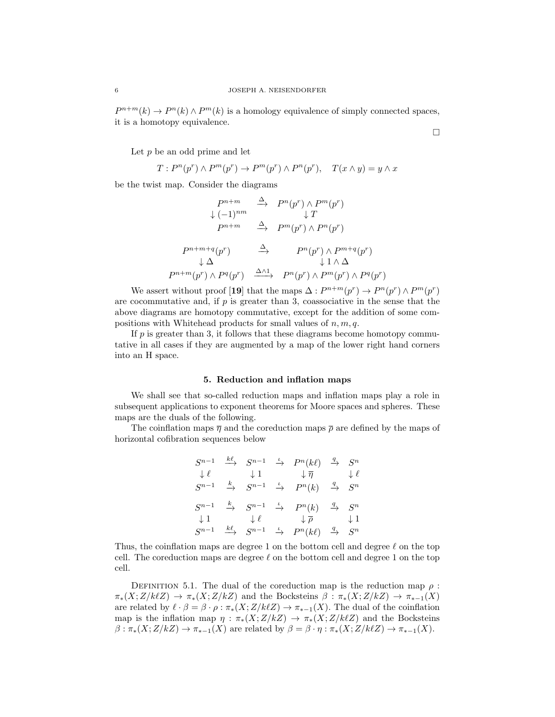$P^{n+m}(k) \to P^{n}(k) \wedge P^{m}(k)$  is a homology equivalence of simply connected spaces, it is a homotopy equivalence.

Let  $p$  be an odd prime and let

$$
T: P^n(p^r) \wedge P^m(p^r) \to P^m(p^r) \wedge P^n(p^r), \quad T(x \wedge y) = y \wedge x
$$

be the twist map. Consider the diagrams

$$
P^{n+m} \xrightarrow{\Delta} P^n(p^r) \wedge P^m(p^r)
$$
  
\n
$$
\downarrow (-1)^{nm} \xrightarrow{\Delta} P^m(p^r) \wedge P^n(p^r)
$$
  
\n
$$
P^{n+m+q}(p^r) \xrightarrow{\Delta} P^n(p^r) \wedge P^{m+q}(p^r)
$$
  
\n
$$
\downarrow \Delta \qquad \qquad \downarrow 1 \wedge \Delta
$$
  
\n
$$
P^{n+m}(p^r) \wedge P^q(p^r) \xrightarrow{\Delta \wedge 1} P^n(p^r) \wedge P^m(p^r) \wedge P^q(p^r)
$$

We assert without proof [19] that the maps  $\Delta: P^{n+m}(p^r) \to P^n(p^r) \wedge P^m(p^r)$ are cocommutative and, if  $p$  is greater than 3, coassociative in the sense that the above diagrams are homotopy commutative, except for the addition of some compositions with Whitehead products for small values of  $n, m, q$ .

If  $p$  is greater than 3, it follows that these diagrams become homotopy commutative in all cases if they are augmented by a map of the lower right hand corners into an H space.

### 5. Reduction and inflation maps

We shall see that so-called reduction maps and inflation maps play a role in subsequent applications to exponent theorems for Moore spaces and spheres. These maps are the duals of the following.

The coinflation maps  $\bar{\eta}$  and the coreduction maps  $\bar{\rho}$  are defined by the maps of horizontal cofibration sequences below

| $S^{n-1}$         |  | $\stackrel{k\ell}{\longrightarrow} S^{n-1} \stackrel{\iota}{\rightarrow} P^n(k\ell) \stackrel{q}{\rightarrow} S^n$                                 |                   |
|-------------------|--|----------------------------------------------------------------------------------------------------------------------------------------------------|-------------------|
| $\downarrow \ell$ |  | $\downarrow 1$ $\downarrow \overline{\eta}$                                                                                                        | $\downarrow \ell$ |
| $S^{n-1}$         |  | $\stackrel{k}{\rightarrow}$ $S^{n-1}$ $\stackrel{\iota}{\rightarrow}$ $P^n(k)$ $\stackrel{q}{\rightarrow}$ $S^n$                                   |                   |
|                   |  | $S^{n-1} \quad \stackrel{k}{\rightarrow} \quad S^{n-1} \quad \stackrel{\iota}{\rightarrow} \quad P^n(k) \quad \stackrel{q}{\rightarrow} \quad S^n$ |                   |
|                   |  | $\downarrow 1$ $\downarrow \ell$ $\downarrow \overline{\rho}$                                                                                      | $\downarrow$ 1    |
|                   |  | $S^{n-1} \quad \xrightarrow{k\ell} \quad S^{n-1} \quad \xrightarrow{\iota} \quad P^n(k\ell) \quad \xrightarrow{q} \quad S^n$                       |                   |

Thus, the coinflation maps are degree 1 on the bottom cell and degree  $\ell$  on the top cell. The coreduction maps are degree  $\ell$  on the bottom cell and degree 1 on the top cell.

DEFINITION 5.1. The dual of the coreduction map is the reduction map  $\rho$ :  $\pi_*(X;Z/k\ell Z)\to \pi_*(X;Z/kZ)$  and the Bocksteins  $\beta:\pi_*(X;Z/kZ)\to \pi_{*-1}(X)$ are related by  $\ell \cdot \beta = \beta \cdot \rho : \pi_*(X; Z/k\ell Z) \to \pi_{*-1}(X)$ . The dual of the coinflation map is the inflation map  $\eta : \pi_*(X; Z/kZ) \to \pi_*(X; Z/k\ell Z)$  and the Bocksteins  $\beta: \pi_*(X;Z/kZ) \to \pi_{*-1}(X)$  are related by  $\beta = \beta \cdot \eta : \pi_*(X;Z/k\ell Z) \to \pi_{*-1}(X)$ .

 $\Box$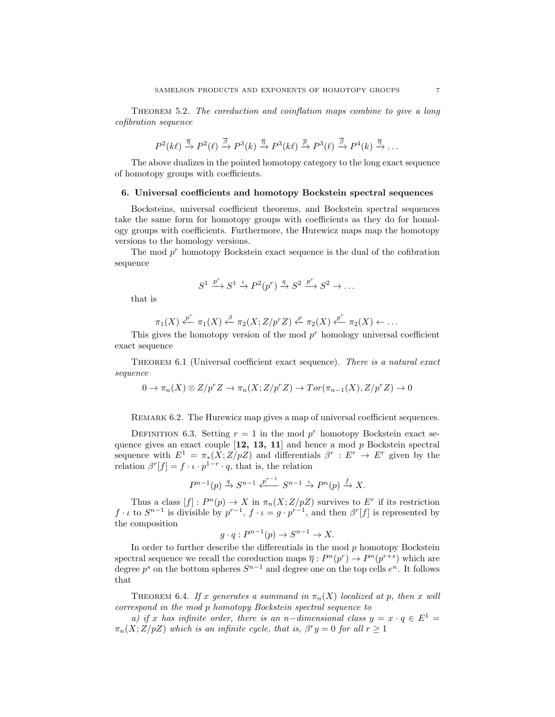Theorem 5.2. The coreduction and coinflation maps combine to give a long cofibration sequence

$$
P^2(k\ell) \xrightarrow{\overline{\eta}} P^2(\ell) \xrightarrow{\overline{\beta}} P^3(k) \xrightarrow{\overline{\eta}} P^3(k\ell) \xrightarrow{\overline{\rho}} P^3(\ell) \xrightarrow{\overline{\beta}} P^4(k) \xrightarrow{\overline{\eta}} \dots
$$

The above dualizes in the pointed homotopy category to the long exact sequence of homotopy groups with coefficients.

#### 6. Universal coefficients and homotopy Bockstein spectral sequences

Bocksteins, universal coefficient theorems, and Bockstein spectral sequences take the same form for homotopy groups with coefficients as they do for homology groups with coefficients. Furthermore, the Hurewicz maps map the homotopy versions to the homology versions.

The mod  $p<sup>r</sup>$  homotopy Bockstein exact sequence is the dual of the cofibration sequence

$$
S^1 \xrightarrow{p^r} S^1 \xrightarrow{\iota} P^2(p^r) \xrightarrow{q} S^2 \xrightarrow{p^r} S^2 \to \dots
$$

that is

$$
\pi_1(X) \stackrel{p^r}{\longleftarrow} \pi_1(X) \stackrel{\beta}{\longleftarrow} \pi_2(X; Z/p^r Z) \stackrel{\rho}{\longleftarrow} \pi_2(X) \stackrel{p^r}{\longleftarrow} \pi_2(X) \longleftarrow \ldots
$$

This gives the homotopy version of the mod  $p<sup>r</sup>$  homology universal coefficient exact sequence

THEOREM 6.1 (Universal coefficient exact sequence). There is a natural exact sequence

$$
0 \to \pi_n(X) \otimes Z/p^r Z \to \pi_n(X; Z/p^r Z) \to Tor(\pi_{n-1}(X), Z/p^r Z) \to 0
$$

REMARK 6.2. The Hurewicz map gives a map of universal coefficient sequences.

DEFINITION 6.3. Setting  $r = 1$  in the mod  $p^r$  homotopy Bockstein exact sequence gives an exact couple  $[12, 13, 11]$  and hence a mod p Bockstein spectral sequence with  $E^1 = \pi_*(X; Z/pZ)$  and differentials  $\beta^r : E^r \to E^r$  given by the relation  $\beta^r[f] = f \cdot \iota \cdot p^{1-r} \cdot q$ , that is, the relation

$$
P^{n-1}(p) \xrightarrow{q} S^{n-1} \xleftarrow{p^{r-1}} S^{n-1} \xrightarrow{\iota} P^n(p) \xrightarrow{f} X.
$$

Thus a class  $[f] : P<sup>n</sup>(p) \to X$  in  $\pi_n(X; Z/pZ)$  survives to  $E<sup>r</sup>$  if its restriction  $f \cdot \iota$  to  $S^{n-1}$  is divisible by  $p^{r-1}$ ,  $f \cdot \iota = g \cdot p^{r-1}$ , and then  $\beta^r[f]$  is represented by the composition

$$
g \cdot q : P^{n-1}(p) \to S^{n-1} \to X.
$$

In order to further describe the differentials in the mod  $p$  homotopy Bockstein spectral sequence we recall the coreduction maps  $\bar{\eta}: P^n(p^r) \to P^n(p^{r+s})$  which are degree  $p^s$  on the bottom spheres  $S^{n-1}$  and degree one on the top cells  $e^n$ . It follows that

THEOREM 6.4. If x generates a summand in  $\pi_n(X)$  localized at p, then x will correspond in the mod p homotopy Bockstein spectral sequence to

a) if x has infinite order, there is an n-dimensional class  $y = x \cdot q \in E^1$  $\pi_n(X; Z/pZ)$  which is an infinite cycle, that is,  $\beta^r y = 0$  for all  $r \ge 1$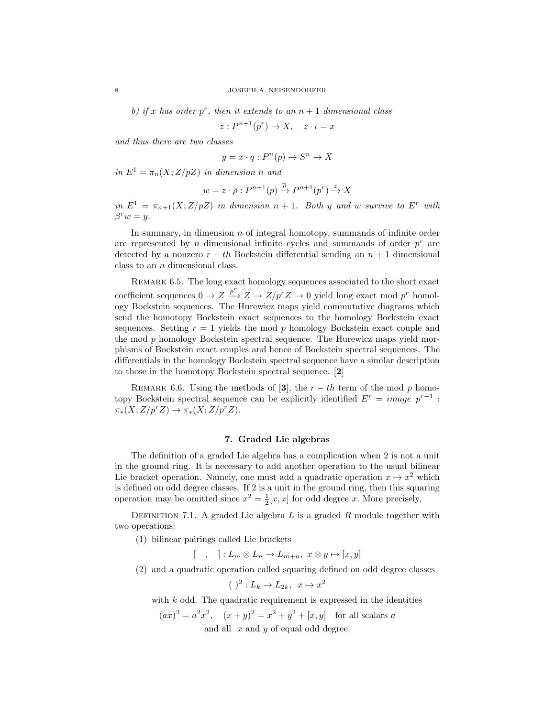b) if x has order  $p^r$ , then it extends to an  $n+1$  dimensional class

$$
z: P^{n+1}(p^r) \to X, \quad z \cdot \iota = x
$$

and thus there are two classes

$$
y = x \cdot q : P^n(p) \to S^n \to X
$$

in  $E^1 = \pi_n(X; Z/pZ)$  in dimension n and

$$
w = z \cdot \overline{\rho} : P^{n+1}(p) \xrightarrow{\overline{\rho}} P^{n+1}(p^r) \xrightarrow{z} X
$$

in  $E^1 = \pi_{n+1}(X; Z/pZ)$  in dimension  $n+1$ . Both y and w survive to  $E^r$  with  $\beta^r w = y.$ 

In summary, in dimension  $n$  of integral homotopy, summands of infinite order are represented by  $n$  dimensional infinite cycles and summands of order  $p^r$  are detected by a nonzero  $r - th$  Bockstein differential sending an  $n + 1$  dimensional class to an  $n$  dimensional class.

Remark 6.5. The long exact homology sequences associated to the short exact coefficient sequences  $0 \to Z \xrightarrow{p^r} Z \to Z/p^r Z \to 0$  yield long exact mod  $p^r$  homology Bockstein sequences. The Hurewicz maps yield commutative diagrams which send the homotopy Bockstein exact sequences to the homology Bockstein exact sequences. Setting  $r = 1$  yields the mod p homology Bockstein exact couple and the mod  $p$  homology Bockstein spectral sequence. The Hurewicz maps yield morphisms of Bockstein exact couples and hence of Bockstein spectral sequences. The differentials in the homology Bockstein spectral sequence have a similar description to those in the homotopy Bockstein spectral sequence. [2]

REMARK 6.6. Using the methods of [3], the  $r - th$  term of the mod p homotopy Bockstein spectral sequence can be explicitly identified  $E^r = image \ p^{r-1}$ :  $\pi_*(X;Z/p^rZ) \to \pi_*(X;Z/p^rZ).$ 

# 7. Graded Lie algebras

The definition of a graded Lie algebra has a complication when 2 is not a unit in the ground ring. It is necessary to add another operation to the usual bilinear Lie bracket operation. Namely, one must add a quadratic operation  $x \mapsto x^2$  which is defined on odd degree classes. If 2 is a unit in the ground ring, then this squaring operation may be omitted since  $x^2 = \frac{1}{2}[x, x]$  for odd degree x. More precisely,

DEFINITION 7.1. A graded Lie algebra  $L$  is a graded  $R$  module together with two operations:

(1) bilinear pairings called Lie brackets

$$
[ , ]: L_m \otimes L_n \to L_{m+n}, x \otimes y \mapsto [x, y]
$$

(2) and a quadratic operation called squaring defined on odd degree classes

$$
(\ )^2: L_k \to L_{2k}, \ x \mapsto x^2
$$

with  $k$  odd. The quadratic requirement is expressed in the identities

 $(ax)^2 = a^2x^2$ ,  $(x + y)^2 = x^2 + y^2 + [x, y]$  for all scalars a and all  $x$  and  $y$  of equal odd degree.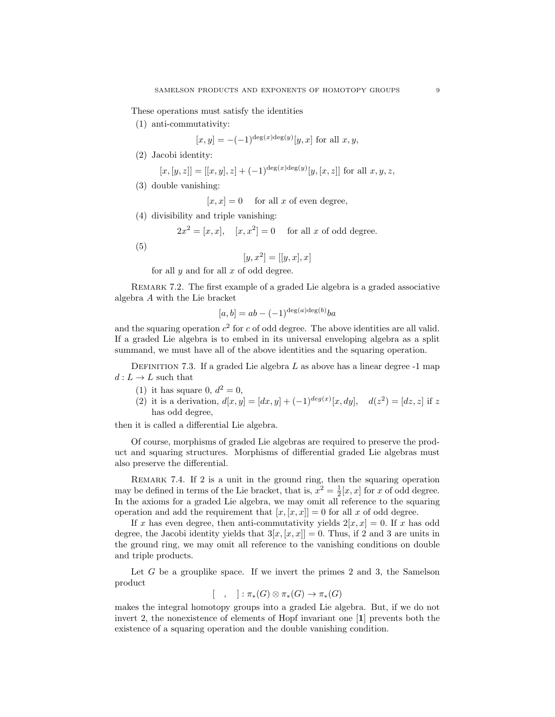These operations must satisfy the identities

(1) anti-commutativity:

$$
[x, y] = -(-1)^{\deg(x)\deg(y)}[y, x]
$$
 for all  $x, y$ ,

(2) Jacobi identity:

$$
[x,[y,z]] = [[x,y],z] + (-1)^{\deg(x)\deg(y)}[y,[x,z]]
$$
 for all  $x, y, z$ ,

(3) double vanishing:

 $[x, x] = 0$  for all x of even degree,

(4) divisibility and triple vanishing:

$$
2x^2 = [x, x], \quad [x, x^2] = 0 \quad \text{ for all } x \text{ of odd degree.}
$$

(5)

$$
[y, x^2] = [[y, x], x]
$$

for all  $y$  and for all  $x$  of odd degree.

Remark 7.2. The first example of a graded Lie algebra is a graded associative algebra A with the Lie bracket

$$
[a, b] = ab - (-1)^{\deg(a)\deg(b)}ba
$$

and the squaring operation  $c^2$  for c of odd degree. The above identities are all valid. If a graded Lie algebra is to embed in its universal enveloping algebra as a split summand, we must have all of the above identities and the squaring operation.

DEFINITION 7.3. If a graded Lie algebra  $L$  as above has a linear degree -1 map  $d: L \to L$  such that

- (1) it has square 0,  $d^2 = 0$ ,
- (2) it is a derivation,  $d[x, y] = [dx, y] + (-1)^{deg(x)}[x, dy], d(z^2) = [dz, z]$  if z has odd degree,

then it is called a differential Lie algebra.

Of course, morphisms of graded Lie algebras are required to preserve the product and squaring structures. Morphisms of differential graded Lie algebras must also preserve the differential.

Remark 7.4. If 2 is a unit in the ground ring, then the squaring operation may be defined in terms of the Lie bracket, that is,  $x^2 = \frac{1}{2}[x, x]$  for x of odd degree. In the axioms for a graded Lie algebra, we may omit all reference to the squaring operation and add the requirement that  $[x,[x,x]] = 0$  for all x of odd degree.

If x has even degree, then anti-commutativity yields  $2[x, x] = 0$ . If x has odd degree, the Jacobi identity yields that  $3[x, [x, x]] = 0$ . Thus, if 2 and 3 are units in the ground ring, we may omit all reference to the vanishing conditions on double and triple products.

Let  $G$  be a grouplike space. If we invert the primes 2 and 3, the Samelson product

$$
[ , ] : \pi_*(G) \otimes \pi_*(G) \to \pi_*(G)
$$

makes the integral homotopy groups into a graded Lie algebra. But, if we do not invert 2, the nonexistence of elements of Hopf invariant one [1] prevents both the existence of a squaring operation and the double vanishing condition.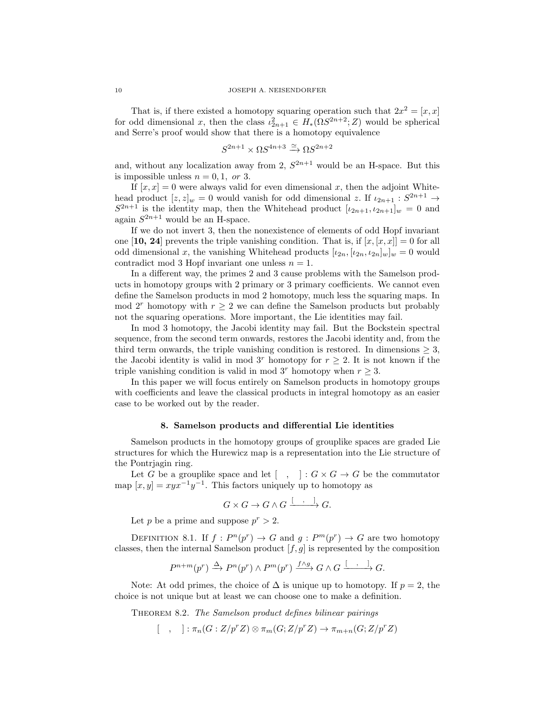That is, if there existed a homotopy squaring operation such that  $2x^2 = [x, x]$ for odd dimensional x, then the class  $\iota_{2n+1}^2 \in H_*(\Omega S^{2n+2}; Z)$  would be spherical and Serre's proof would show that there is a homotopy equivalence

$$
S^{2n+1} \times \Omega S^{4n+3} \xrightarrow{\simeq} \Omega S^{2n+2}
$$

and, without any localization away from 2,  $S^{2n+1}$  would be an H-space. But this is impossible unless  $n = 0, 1, or 3$ .

If  $[x, x] = 0$  were always valid for even dimensional x, then the adjoint Whitehead product  $[z, z]_w = 0$  would vanish for odd dimensional z. If  $\iota_{2n+1} : S^{2n+1} \to$  $S^{2n+1}$  is the identity map, then the Whitehead product  $[\iota_{2n+1}, \iota_{2n+1}]_w = 0$  and again  $S^{2n+1}$  would be an H-space.

If we do not invert 3, then the nonexistence of elements of odd Hopf invariant one [10, 24] prevents the triple vanishing condition. That is, if  $[x,[x,x]] = 0$  for all odd dimensional x, the vanishing Whitehead products  $[\iota_{2n}, [\iota_{2n}, \iota_{2n}]_w]_w = 0$  would contradict mod 3 Hopf invariant one unless  $n = 1$ .

In a different way, the primes 2 and 3 cause problems with the Samelson products in homotopy groups with 2 primary or 3 primary coefficients. We cannot even define the Samelson products in mod 2 homotopy, much less the squaring maps. In mod  $2^r$  homotopy with  $r \geq 2$  we can define the Samelson products but probably not the squaring operations. More important, the Lie identities may fail.

In mod 3 homotopy, the Jacobi identity may fail. But the Bockstein spectral sequence, from the second term onwards, restores the Jacobi identity and, from the third term onwards, the triple vanishing condition is restored. In dimensions  $\geq 3$ , the Jacobi identity is valid in mod 3<sup>r</sup> homotopy for  $r > 2$ . It is not known if the triple vanishing condition is valid in mod 3<sup>r</sup> homotopy when  $r \geq 3$ .

In this paper we will focus entirely on Samelson products in homotopy groups with coefficients and leave the classical products in integral homotopy as an easier case to be worked out by the reader.

### 8. Samelson products and differential Lie identities

Samelson products in the homotopy groups of grouplike spaces are graded Lie structures for which the Hurewicz map is a representation into the Lie structure of the Pontrjagin ring.

Let G be a grouplike space and let  $\left[\right]$ ,  $\left[\right]$ :  $G \times G \rightarrow G$  be the commutator map  $[x, y] = xyx^{-1}y^{-1}$ . This factors uniquely up to homotopy as

$$
G \times G \to G \wedge G \xrightarrow{\left[ \quad , \quad \right]} G.
$$

Let p be a prime and suppose  $p^r > 2$ .

DEFINITION 8.1. If  $f: P^n(p^r) \to G$  and  $g: P^m(p^r) \to G$  are two homotopy classes, then the internal Samelson product  $[f, g]$  is represented by the composition

$$
P^{n+m}(p^r) \xrightarrow{\Delta} P^n(p^r) \wedge P^m(p^r) \xrightarrow{f \wedge g} G \wedge G \xrightarrow{\leftarrow} G.
$$

Note: At odd primes, the choice of  $\Delta$  is unique up to homotopy. If  $p = 2$ , the choice is not unique but at least we can choose one to make a definition.

THEOREM 8.2. The Samelson product defines bilinear pairings

$$
[\quad,\quad]: \pi_n(G:Z/p^rZ)\otimes \pi_m(G;Z/p^rZ)\to \pi_{m+n}(G;Z/p^rZ)
$$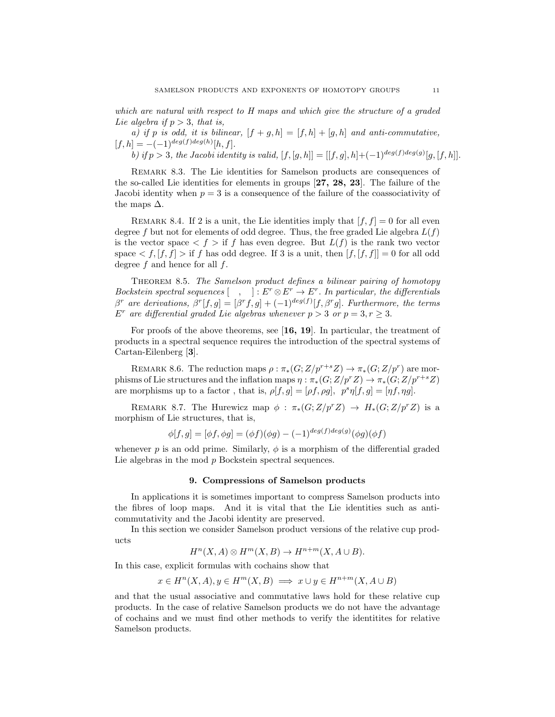which are natural with respect to H maps and which give the structure of a graded Lie algebra if  $p > 3$ , that is,

a) if p is odd, it is bilinear,  $[f+g,h] = [f,h] + [g,h]$  and anti-commutative,  $[f, h] = -(-1)^{deg(f)deg(h)}[h, f].$ 

b) if  $p > 3$ , the Jacobi identity is valid,  $[f, [g, h]] = [[f, g], h] + (-1)^{deg(f)deg(g)}[g, [f, h]].$ 

Remark 8.3. The Lie identities for Samelson products are consequences of the so-called Lie identities for elements in groups [27, 28, 23]. The failure of the Jacobi identity when  $p = 3$  is a consequence of the failure of the coassociativity of the maps  $\Delta$ .

REMARK 8.4. If 2 is a unit, the Lie identities imply that  $[f, f] = 0$  for all even degree f but not for elements of odd degree. Thus, the free graded Lie algebra  $L(f)$ is the vector space  $\langle f \rangle$  if f has even degree. But  $L(f)$  is the rank two vector space  $\langle f, [f, f] \rangle$  if f has odd degree. If 3 is a unit, then  $[f, [f, f]] = 0$  for all odd degree  $f$  and hence for all  $f$ .

THEOREM 8.5. The Samelson product defines a bilinear pairing of homotopy Bockstein spectral sequences [ $, \cdot$ ] :  $E^r \otimes E^r \rightarrow E^r$ . In particular, the differentials β<sup>r</sup> are derivations,  $β<sup>r</sup>[f,g] = [β<sup>r</sup>f,g] + (-1)<sup>deg(f)</sup>[f, β<sup>r</sup>g]$ . Furthermore, the terms E<sup>r</sup> are differential graded Lie algebras whenever  $p > 3$  or  $p = 3, r \ge 3$ .

For proofs of the above theorems, see [16, 19]. In particular, the treatment of products in a spectral sequence requires the introduction of the spectral systems of Cartan-Eilenberg [3].

REMARK 8.6. The reduction maps  $\rho : \pi_*(G;Z/p^{r+s}Z) \to \pi_*(G;Z/p^r)$  are morphisms of Lie structures and the inflation maps  $\eta : \pi_*(G;Z/p^rZ) \to \pi_*(G;Z/p^{r+s}Z)$ are morphisms up to a factor, that is,  $\rho[f,g] = [\rho f, \rho g], \ p^s \eta[f,g] = [\eta f, \eta g].$ 

REMARK 8.7. The Hurewicz map  $\phi : \pi_*(G;Z/p^rZ) \to H_*(G;Z/p^rZ)$  is a morphism of Lie structures, that is,

$$
\phi[f, g] = [\phi f, \phi g] = (\phi f)(\phi g) - (-1)^{deg(f)deg(g)}(\phi g)(\phi f)
$$

whenever p is an odd prime. Similarly,  $\phi$  is a morphism of the differential graded Lie algebras in the mod p Bockstein spectral sequences.

#### 9. Compressions of Samelson products

In applications it is sometimes important to compress Samelson products into the fibres of loop maps. And it is vital that the Lie identities such as anticommutativity and the Jacobi identity are preserved.

In this section we consider Samelson product versions of the relative cup products

$$
H^{n}(X, A) \otimes H^{m}(X, B) \to H^{n+m}(X, A \cup B).
$$

In this case, explicit formulas with cochains show that

$$
x \in H^n(X, A), y \in H^m(X, B) \implies x \cup y \in H^{n+m}(X, A \cup B)
$$

and that the usual associative and commutative laws hold for these relative cup products. In the case of relative Samelson products we do not have the advantage of cochains and we must find other methods to verify the identitites for relative Samelson products.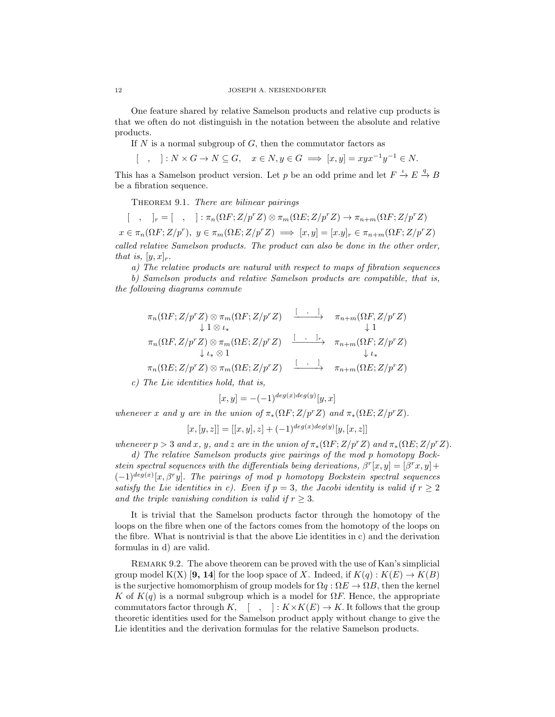One feature shared by relative Samelson products and relative cup products is that we often do not distinguish in the notation between the absolute and relative products.

If  $N$  is a normal subgroup of  $G$ , then the commutator factors as

 $[ , ] : N \times G \to N \subseteq G, \quad x \in N, y \in G \implies [x, y] = xyx^{-1}y^{-1} \in N.$ 

This has a Samelson product version. Let p be an odd prime and let  $F \stackrel{\iota}{\to} E \stackrel{q}{\to} B$ be a fibration sequence.

THEOREM 9.1. There are bilinear pairings

 $[\ ,\ ]_r = [\ ,\ ]: \pi_n(\Omega F; Z/p^r Z) \otimes \pi_m(\Omega E; Z/p^r Z) \rightarrow \pi_{n+m}(\Omega F; Z/p^r Z)$  $x \in \pi_n(\Omega F; Z/p^r), y \in \pi_m(\Omega E; Z/p^r Z) \implies [x, y] = [x, y]_r \in \pi_{n+m}(\Omega F; Z/p^r Z)$ called relative Samelson products. The product can also be done in the other order, that is,  $[y, x]_r$ .

a) The relative products are natural with respect to maps of fibration sequences

b) Samelson products and relative Samelson products are compatible, that is, the following diagrams commute

πn(ΩF;Z/prZ) ⊗ πm(ΩF;Z/prZ) [ , ] −−−−−→ πn+m(ΩF, Z/prZ) ↓ 1 ⊗ ι<sup>∗</sup> ↓ 1 πn(ΩF, Z/prZ) ⊗ πm(ΩE;Z/prZ) [ , ]<sup>r</sup> −−−−−→ <sup>π</sup>n+m(ΩF;Z/prZ) ↓ ι<sup>∗</sup> ⊗ 1 ↓ ι<sup>∗</sup> πn(ΩE;Z/prZ) ⊗ πm(ΩE;Z/prZ) [ , ] −−−−−→ πn+m(ΩE;Z/prZ)

c) The Lie identities hold, that is,

$$
[x, y] = -(-1)^{\deg(x)\deg(y)}[y, x]
$$

whenever x and y are in the union of  $\pi_*(\Omega F;Z/p^rZ)$  and  $\pi_*(\Omega E;Z/p^rZ)$ .

$$
[x,[y,z]] = [[x,y],z] + (-1)^{deg(x)deg(y)}[y,[x,z]]
$$

whenever  $p > 3$  and x, y, and z are in the union of  $\pi_*(\Omega F; Z/p^rZ)$  and  $\pi_*(\Omega E; Z/p^rZ)$ .

d) The relative Samelson products give pairings of the mod p homotopy Bockstein spectral sequences with the differentials being derivations,  $\beta^r[x, y] = [\beta^r x, y] +$  $(-1)^{deg(x)}[x,\beta^{r}y].$  The pairings of mod p homotopy Bockstein spectral sequences satisfy the Lie identities in c). Even if  $p = 3$ , the Jacobi identity is valid if  $r \geq 2$ and the triple vanishing condition is valid if  $r \geq 3$ .

It is trivial that the Samelson products factor through the homotopy of the loops on the fibre when one of the factors comes from the homotopy of the loops on the fibre. What is nontrivial is that the above Lie identities in c) and the derivation formulas in d) are valid.

REMARK 9.2. The above theorem can be proved with the use of Kan's simplicial group model K(X) [9, 14] for the loop space of X. Indeed, if  $K(q): K(E) \to K(B)$ is the surjective homomorphism of group models for  $\Omega q : \Omega E \to \Omega B$ , then the kernel K of  $K(q)$  is a normal subgroup which is a model for  $\Omega F$ . Hence, the appropriate commutators factor through K,  $[ , ] : K \times K(E) \rightarrow K$ . It follows that the group theoretic identities used for the Samelson product apply without change to give the Lie identities and the derivation formulas for the relative Samelson products.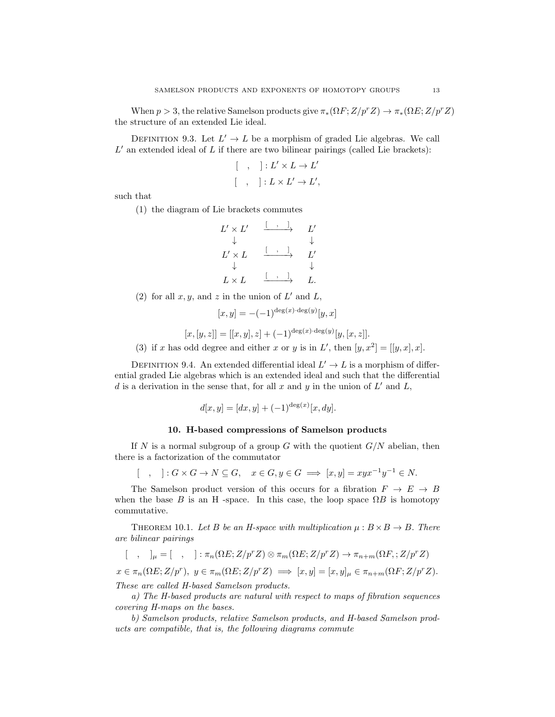When  $p > 3$ , the relative Samelson products give  $\pi_*(\Omega F; Z/p^r Z) \to \pi_*(\Omega E; Z/p^r Z)$ the structure of an extended Lie ideal.

DEFINITION 9.3. Let  $L' \to L$  be a morphism of graded Lie algebras. We call  $L'$  an extended ideal of  $L$  if there are two bilinear pairings (called Lie brackets):

$$
\begin{bmatrix} , & \vdots & L' \times L \to L' \\ \vdots & & \vdots & L \times L' \to L', \end{bmatrix}
$$

such that

(1) the diagram of Lie brackets commutes

$$
\begin{array}{ccc}\nL' \times L' & \xrightarrow{\begin{array}{ccc}\n\cdot & \cdot & \cdot & \cdot \\
\downarrow & & \downarrow & \\
L' \times L & \xrightarrow{\begin{array}{ccc}\n\cdot & \cdot & \cdot & \cdot \\
\downarrow & & \downarrow & \\
\downarrow & & \downarrow & \\
L \times L & \xrightarrow{\begin{array}{ccc}\n\cdot & \cdot & \cdot & \cdot \\
\cdot & \cdot & \cdot & \cdot \\
\end{array} & L.\n\end{array}
$$

(2) for all  $x, y$ , and  $z$  in the union of  $L'$  and  $L$ ,

$$
[x, y] = -(-1)^{\deg(x) \cdot \deg(y)} [y, x]
$$

$$
[x, [y, z]] = [[x, y], z] + (-1)^{\deg(x) \cdot \deg(y)} [y, [x, z]].
$$

(3) if x has odd degree and either x or y is in L', then  $[y, x^2] = [[y, x], x]$ .

DEFINITION 9.4. An extended differential ideal  $L' \to L$  is a morphism of differential graded Lie algebras which is an extended ideal and such that the differential d is a derivation in the sense that, for all x and y in the union of  $L'$  and  $L$ ,

$$
d[x, y] = [dx, y] + (-1)^{\deg(x)} [x, dy].
$$

#### 10. H-based compressions of Samelson products

If N is a normal subgroup of a group G with the quotient  $G/N$  abelian, then there is a factorization of the commutator

 $[ , ] : G \times G \to N \subseteq G, \quad x \in G, y \in G \implies [x, y] = xyx^{-1}y^{-1} \in N.$ 

The Samelson product version of this occurs for a fibration  $F \to E \to B$ when the base B is an H -space. In this case, the loop space  $\Omega$ B is homotopy commutative.

THEOREM 10.1. Let B be an H-space with multiplication  $\mu : B \times B \to B$ . There are bilinear pairings

$$
[\ ,\ ]_{\mu}=[\ ,\ ]:\pi_n(\Omega E;Z/p^rZ)\otimes \pi_m(\Omega E;Z/p^rZ)\to \pi_{n+m}(\Omega F;Z/p^rZ)
$$

 $x \in \pi_n(\Omega E; Z/p^r), y \in \pi_m(\Omega E; Z/p^r Z) \implies [x, y] = [x, y]_\mu \in \pi_{n+m}(\Omega F; Z/p^r Z).$ These are called H-based Samelson products.

a) The H-based products are natural with respect to maps of fibration sequences covering H-maps on the bases.

b) Samelson products, relative Samelson products, and H-based Samelson products are compatible, that is, the following diagrams commute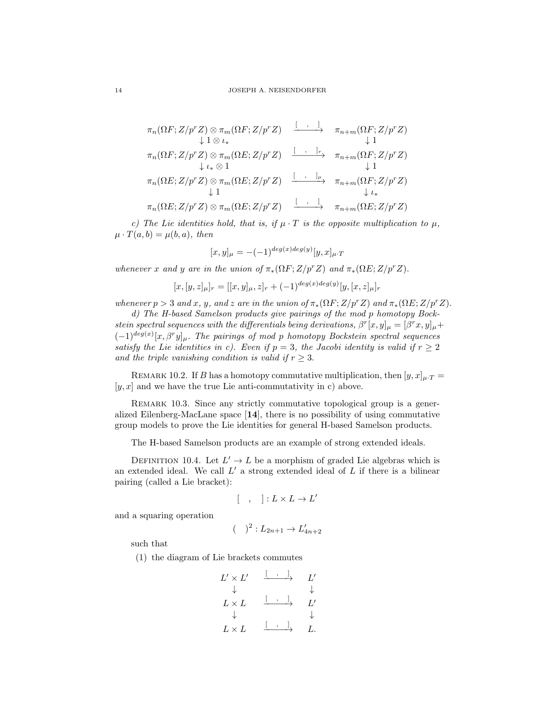$$
\pi_n(\Omega F; Z/p^r Z) \otimes \pi_m(\Omega F; Z/p^r Z) \xrightarrow{\begin{array}{c}\n\downarrow \quad 1 \\
\downarrow \quad 1 \otimes \iota_*\n\end{array}} \pi_{n+m}(\Omega F; Z/p^r Z) \xrightarrow{\begin{array}{c}\n\downarrow \quad 1 \\
\downarrow \quad 1\n\end{array}} \pi_{n+m}(\Omega F; Z/p^r Z) \xrightarrow{\begin{array}{c}\n\downarrow \quad 1 \\
\downarrow \quad 1\n\end{array}} \pi_n(\Omega F; Z/p^r Z) \otimes \pi_m(\Omega E; Z/p^r Z) \xrightarrow{\begin{array}{c}\n\downarrow \quad 1 \\
\downarrow \quad 1\n\end{array}} \pi_{n+m}(\Omega F; Z/p^r Z) \xrightarrow{\begin{array}{c}\n\downarrow \quad 1 \\
\downarrow \quad 1\n\end{array}} \pi_n(\Omega E; Z/p^r Z) \otimes \pi_m(\Omega E; Z/p^r Z) \xrightarrow{\begin{array}{c}\n\downarrow \quad 1 \\
\downarrow \quad 1\n\end{array}} \pi_{n+m}(\Omega E; Z/p^r Z) \otimes \pi_m(\Omega E; Z/p^r Z) \xrightarrow{\begin{array}{c}\n\downarrow \quad 1 \\
\downarrow \quad 1\n\end{array}} \pi_{n+m}(\Omega E; Z/p^r Z)
$$

c) The Lie identities hold, that is, if  $\mu \cdot T$  is the opposite multiplication to  $\mu$ ,  $\mu \cdot T(a, b) = \mu(b, a)$ , then

$$
[x,y]_{\mu} = -(-1)^{deg(x)deg(y)}[y,x]_{\mu \cdot T}
$$

whenever x and y are in the union of  $\pi_*(\Omega F;Z/p^rZ)$  and  $\pi_*(\Omega E;Z/p^rZ)$ .

$$
[x,[y,z]_\mu]_r = [[x,y]_\mu,z]_r + (-1)^{deg(x)deg(y)}[y,[x,z]_\mu]_r
$$

whenever  $p > 3$  and x, y, and z are in the union of  $\pi_*(\Omega F; Z/p^r Z)$  and  $\pi_*(\Omega E; Z/p^r Z)$ .

d) The H-based Samelson products give pairings of the mod p homotopy Bockstein spectral sequences with the differentials being derivations,  $\beta^{r}[x,y]_{\mu} = [\beta^{r}x, y]_{\mu} +$  $(-1)^{deg(x)}[x,\beta^{r}y]_{\mu}$ . The pairings of mod p homotopy Bockstein spectral sequences satisfy the Lie identities in c). Even if  $p = 3$ , the Jacobi identity is valid if  $r \geq 2$ and the triple vanishing condition is valid if  $r \geq 3$ .

REMARK 10.2. If B has a homotopy commutative multiplication, then  $[y, x]_{\mu}$ .  $[y, x]$  and we have the true Lie anti-commutativity in c) above.

REMARK 10.3. Since any strictly commutative topological group is a generalized Eilenberg-MacLane space [14], there is no possibility of using commutative group models to prove the Lie identities for general H-based Samelson products.

The H-based Samelson products are an example of strong extended ideals.

DEFINITION 10.4. Let  $L' \to L$  be a morphism of graded Lie algebras which is an extended ideal. We call  $L'$  a strong extended ideal of  $L$  if there is a bilinear pairing (called a Lie bracket):

$$
[ \quad,\quad]:L\times L\rightarrow L'
$$

and a squaring operation

$$
)^2: L_{2n+1} \to L'_{4n+2}
$$

such that

(1) the diagram of Lie brackets commutes

 $($ 

$$
\begin{array}{ccc}\nL' \times L' & \xrightarrow{\begin{array}{ccc}\n\begin{array}{ccc}\n\cdot & \cdot & \cdot \\
\downarrow & & \downarrow \\
\downarrow & & \downarrow \\
L \times L & & \xrightarrow{\begin{array}{ccc}\n\cdot & \cdot & \cdot \\
\downarrow & & \downarrow \\
\downarrow & & \downarrow \\
L \times L & & \xrightarrow{\begin{array}{ccc}\n\cdot & \cdot & \cdot \\
\cdot & \cdot & \downarrow \\
\downarrow & & \downarrow \\
L \end{array}\n\end{array}}\n\end{array}
$$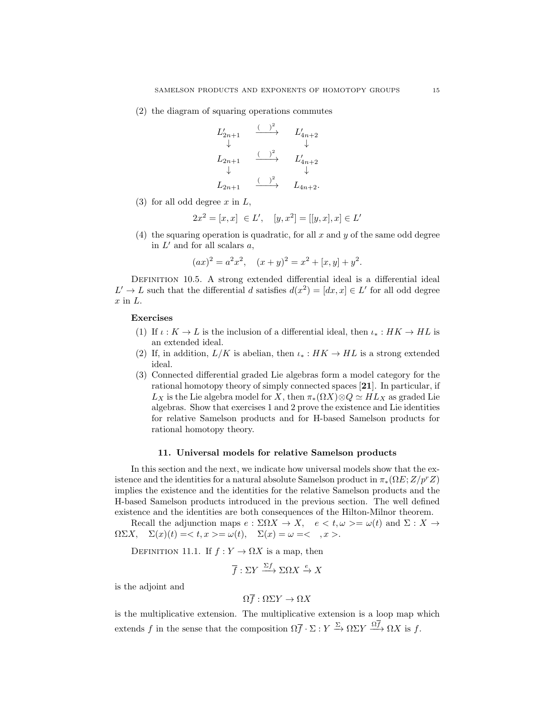(2) the diagram of squaring operations commutes

$$
\begin{array}{ccc}\nL'_{2n+1} & \stackrel{(-) ^2}{\longrightarrow} & L'_{4n+2} \\
\downarrow & & \downarrow \\
L_{2n+1} & \stackrel{(-) ^2}{\longrightarrow} & L'_{4n+2} \\
\downarrow & & \downarrow \\
L_{2n+1} & \stackrel{(-) ^2}{\longrightarrow} & L_{4n+2}.\n\end{array}
$$

(3) for all odd degree  $x$  in  $L$ ,

$$
2x^2 = [x, x] \in L', \quad [y, x^2] = [[y, x], x] \in L'
$$

(4) the squaring operation is quadratic, for all  $x$  and  $y$  of the same odd degree in  $L'$  and for all scalars  $a$ ,

$$
(ax)^2 = a^2x^2, \quad (x+y)^2 = x^2 + [x, y] + y^2.
$$

DEFINITION 10.5. A strong extended differential ideal is a differential ideal  $L' \to L$  such that the differential d satisfies  $d(x^2) = [dx, x] \in L'$  for all odd degree  $x$  in  $L$ .

# Exercises

- (1) If  $\iota: K \to L$  is the inclusion of a differential ideal, then  $\iota_*: HK \to HL$  is an extended ideal.
- (2) If, in addition,  $L/K$  is abelian, then  $\iota_* : HK \to HL$  is a strong extended ideal.
- (3) Connected differential graded Lie algebras form a model category for the rational homotopy theory of simply connected spaces [21]. In particular, if  $L_X$  is the Lie algebra model for X, then  $\pi_*(\Omega X)\otimes Q \simeq HL_X$  as graded Lie algebras. Show that exercises 1 and 2 prove the existence and Lie identities for relative Samelson products and for H-based Samelson products for rational homotopy theory.

### 11. Universal models for relative Samelson products

In this section and the next, we indicate how universal models show that the existence and the identities for a natural absolute Samelson product in  $\pi_*(\Omega E; Z/p^rZ)$ implies the existence and the identities for the relative Samelson products and the H-based Samelson products introduced in the previous section. The well defined existence and the identities are both consequences of the Hilton-Milnor theorem.

Recall the adjunction maps  $e : \Sigma \Omega X \to X$ ,  $e < t, \omega \geq \omega(t)$  and  $\Sigma : X \to Y$  $\Omega \Sigma X$ ,  $\Sigma(x)(t) = \langle t, x \rangle = \omega(t)$ ,  $\Sigma(x) = \omega = \langle , x \rangle$ .

DEFINITION 11.1. If  $f: Y \to \Omega X$  is a map, then

$$
\overline{f} : \Sigma Y \xrightarrow{\Sigma f} \Sigma \Omega X \xrightarrow{e} X
$$

is the adjoint and

$$
\Omega \overline{f} : \Omega \Sigma Y \to \Omega X
$$

is the multiplicative extension. The multiplicative extension is a loop map which extends f in the sense that the composition  $\Omega \overline{f} \cdot \Sigma : Y \xrightarrow{\Sigma} \Omega \Sigma Y \xrightarrow{\Omega f} \Omega X$  is f.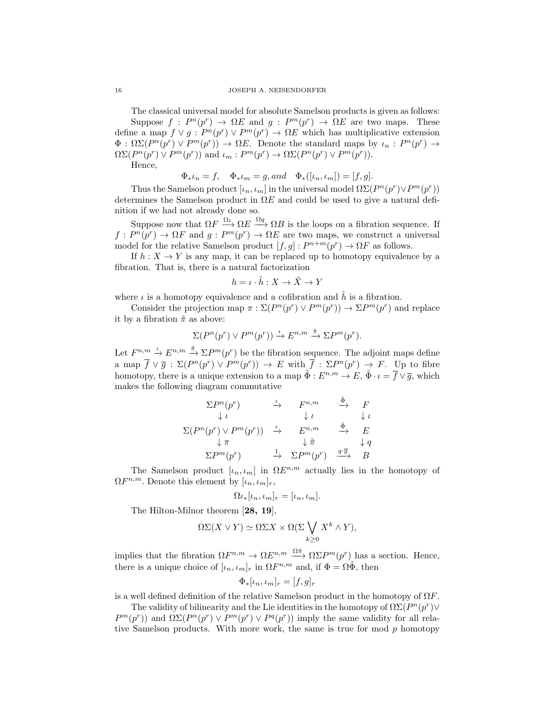The classical universal model for absolute Samelson products is given as follows: Suppose  $f: P^n(p^r) \to \Omega E$  and  $g: P^m(p^r) \to \Omega E$  are two maps. These define a map  $f \vee g : P^n(p^r) \vee P^m(p^r) \rightarrow \Omega E$  which has multiplicative extension  $\Phi : \Omega \Sigma (P^n(p^r) \vee P^m(p^r)) \longrightarrow \Omega E$ . Denote the standard maps by  $\iota_n : P^n(p^r) \longrightarrow$  $\Omega\Sigma(P^n(p^r) \vee P^m(p^r))$  and  $\iota_m : P^m(p^r) \to \Omega\Sigma(P^n(p^r) \vee P^m(p^r)).$ 

Hence,

$$
\Phi_{*}\iota_n = f, \quad \Phi_{*}\iota_m = g, \text{and} \quad \Phi_{*}([\iota_n, \iota_m]) = [f, g].
$$

Thus the Samelson product  $[\iota_n, \iota_m]$  in the universal model  $\Omega \Sigma (P^n(p^r) \vee P^m(p^r))$ determines the Samelson product in  $\Omega E$  and could be used to give a natural definition if we had not already done so.

Suppose now that  $\Omega F \stackrel{\Omega \iota}{\longrightarrow} \Omega E \stackrel{\Omega q}{\longrightarrow} \Omega B$  is the loops on a fibration sequence. If  $f: P^{n}(p^{r}) \to \Omega F$  and  $g: P^{m}(p^{r}) \to \Omega E$  are two maps, we construct a universal model for the relative Samelson product  $[f, g] : P^{n+m}(p^r) \to \Omega F$  as follows.

If  $h: X \to Y$  is any map, it can be replaced up to homotopy equivalence by a fibration. That is, there is a natural factorization

$$
h = \iota \cdot \tilde{h} : X \to \tilde{X} \to Y
$$

where  $\iota$  is a homotopy equivalence and a cofibration and  $\tilde{h}$  is a fibration.

Consider the projection map  $\pi : \Sigma(P^n(p^r) \vee P^m(p^r)) \to \Sigma P^m(p^r)$  and replace it by a fibration  $\tilde{\pi}$  as above:

$$
\Sigma(P^n(p^r) \vee P^m(p^r)) \xrightarrow{\iota} E^{n,m} \xrightarrow{\tilde{\pi}} \Sigma P^m(p^r).
$$

Let  $F^{n,m} \stackrel{\iota}{\to} E^{n,m} \stackrel{\tilde{\pi}}{\to} \Sigma P^m(p^r)$  be the fibration sequence. The adjoint maps define a map  $\overline{f} \vee \overline{g} : \Sigma(P^n(p^r) \vee P^m(p^r)) \rightarrow E$  with  $\overline{f} : \Sigma P^n(p^r) \rightarrow F$ . Up to fibre homotopy, there is a unique extension to a map  $\tilde{\Phi}: E^{n,m} \to E$ ,  $\tilde{\Phi} \cdot \iota = \overline{f} \vee \overline{g}$ , which makes the following diagram commutative

$$
\Sigma P^n(p^r) \xrightarrow{\iota} F^{n,m} \xrightarrow{\tilde{\Phi}} F
$$
  
\n
$$
\downarrow \iota \qquad \qquad \downarrow \iota \qquad \qquad \downarrow \iota
$$
  
\n
$$
\Sigma (P^n(p^r) \vee P^m(p^r)) \xrightarrow{\iota} E^{n,m} \xrightarrow{\tilde{\Phi}} E
$$
  
\n
$$
\downarrow \pi \qquad \qquad \downarrow \tilde{\pi} \qquad \qquad \downarrow q
$$
  
\n
$$
\Sigma P^m(p^r) \xrightarrow{\mathbf{1}} \Sigma P^m(p^r) \xrightarrow{q \cdot \overline{g}} B
$$

The Samelson product  $[\iota_n, \iota_m]$  in  $\Omega E^{n,m}$  actually lies in the homotopy of  $\Omega F^{n,m}$ . Denote this element by  $[\iota_n, \iota_m]_r$ ,

$$
\Omega_{\ell*}[\iota_n, \iota_m]_r = [\iota_n, \iota_m].
$$

The Hilton-Milnor theorem [28, 19],

$$
\Omega\Sigma(X \vee Y) \simeq \Omega\Sigma X \times \Omega(\Sigma \bigvee_{k \geq 0} X^k \wedge Y),
$$

implies that the fibration  $\Omega F^{n,m} \to \Omega E^{n,m} \xrightarrow{\Omega \pi} \Omega \Sigma P^m(p^r)$  has a section. Hence, there is a unique choice of  $[\iota_n, \iota_m]_r$  in  $\Omega F^{n,m}$  and, if  $\Phi = \Omega \tilde{\Phi}$ , then

$$
\Phi_*[\iota_n, \iota_m]_r = [f, g]_r
$$

is a well defined definition of the relative Samelson product in the homotopy of  $\Omega F$ .

The validity of bilinearity and the Lie identities in the homotopy of  $\Omega \Sigma (P^n(p^r) \vee$  $P^m(p^r)$  and  $\Omega\Sigma(P^n(p^r) \vee P^m(p^r) \vee P^q(p^r))$  imply the same validity for all relative Samelson products. With more work, the same is true for mod  $p$  homotopy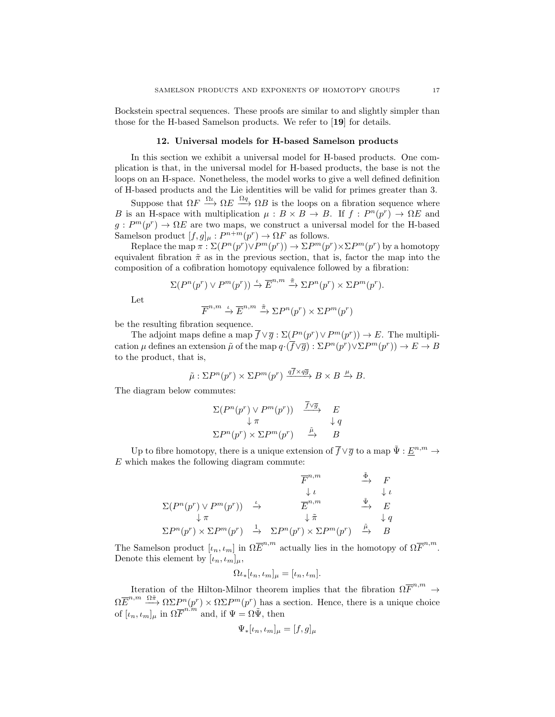Bockstein spectral sequences. These proofs are similar to and slightly simpler than those for the H-based Samelson products. We refer to [19] for details.

### 12. Universal models for H-based Samelson products

In this section we exhibit a universal model for H-based products. One complication is that, in the universal model for H-based products, the base is not the loops on an H-space. Nonetheless, the model works to give a well defined definition of H-based products and the Lie identities will be valid for primes greater than 3.

Suppose that  $\Omega F \stackrel{\Omega \iota}{\longrightarrow} \Omega E \stackrel{\Omega q}{\longrightarrow} \Omega B$  is the loops on a fibration sequence where B is an H-space with multiplication  $\mu : B \times B \to B$ . If  $f : P^{n}(p^{r}) \to \Omega E$  and  $g: P^m(p^r) \to \Omega E$  are two maps, we construct a universal model for the H-based Samelson product  $[f, g]_\mu : P^{n+m}(p^r) \to \Omega F$  as follows.

Replace the map  $\pi : \Sigma(P^n(p^r) \vee P^m(p^r)) \to \Sigma P^m(p^r) \times \Sigma P^m(p^r)$  by a homotopy equivalent fibration  $\tilde{\pi}$  as in the previous section, that is, factor the map into the composition of a cofibration homotopy equivalence followed by a fibration:

$$
\Sigma(P^n(p^r) \vee P^m(p^r)) \xrightarrow{\iota} \overline{E}^{n,m} \xrightarrow{\tilde{\pi}} \Sigma P^n(p^r) \times \Sigma P^m(p^r).
$$
  

$$
\overline{F}^{n,m} \xrightarrow{\iota} \overline{E}^{n,m} \xrightarrow{\tilde{\pi}} \Sigma P^n(p^r) \times \Sigma P^m(p^r)
$$

be the resulting fibration sequence.

Let

The adjoint maps define a map  $\overline{f} \vee \overline{g} : \Sigma(P^n(p^r) \vee P^m(p^r)) \to E$ . The multiplication  $\mu$  defines an extension  $\tilde{\mu}$  of the map  $q \cdot (\overline{f} \vee \overline{g}) : \Sigma P^n(p^r) \vee \Sigma P^m(p^r) \rightarrow E \rightarrow B$ to the product, that is,

$$
\tilde{\mu}: \Sigma P^{n}(p^{r}) \times \Sigma P^{m}(p^{r}) \xrightarrow{qf \times q\overline{g}} B \times B \xrightarrow{\mu} B.
$$

The diagram below commutes:

$$
\Sigma(P^n(p^r) \vee P^m(p^r)) \xrightarrow{f \vee \overline{g}} E
$$
  
\n
$$
\downarrow \pi \qquad \qquad \downarrow q
$$
  
\n
$$
\Sigma P^n(p^r) \times \Sigma P^m(p^r) \xrightarrow{\tilde{\mu}} B
$$

Up to fibre homotopy, there is a unique extension of  $\overline{f} \vee \overline{g}$  to a map  $\tilde{\Psi} : \underline{E}^{n,m} \to$  $E$  which makes the following diagram commute:

$$
\begin{array}{ccc}\n\overline{F}^{n,m} & \xrightarrow{\tilde{\Phi}} & F \\
\downarrow \iota & & \downarrow \iota \\
\Sigma(P^n(p^r) \vee P^m(p^r)) & \xrightarrow{\iota} & \overline{E}^{n,m} & \xrightarrow{\tilde{\Psi}} & E \\
\downarrow \pi & & \downarrow \tilde{\pi} & & \downarrow q \\
\Sigma P^n(p^r) \times \Sigma P^m(p^r) & \xrightarrow{\mathbf{1}} & \Sigma P^n(p^r) \times \Sigma P^m(p^r) & \xrightarrow{\tilde{\mu}} & B\n\end{array}
$$

The Samelson product  $[\iota_n, \iota_m]$  in  $\Omega \overline{E}^{n,m}$  actually lies in the homotopy of  $\Omega \overline{F}^{n,m}$ . Denote this element by  $[\iota_n, \iota_m]_\mu$ ,

$$
\Omega_{\ell*}[\iota_n, \iota_m]_\mu = [\iota_n, \iota_m].
$$

Iteration of the Hilton-Milnor theorem implies that the fibration  $\Omega \overline{F}^{n,m} \rightarrow$  $\Omega \overline{E}^{n,m} \stackrel{\Omega \tilde{\pi}}{\longrightarrow} \Omega \Sigma P^n(p^r) \times \Omega \Sigma P^m(p^r)$  has a section. Hence, there is a unique choice of  $[\iota_n, \iota_m]_\mu$  in  $\Omega \overline{F}^{n \times m}$  and, if  $\Psi = \Omega \widetilde{\Psi}$ , then

$$
\Psi_*[\iota_n, \iota_m]_\mu = [f, g]_\mu
$$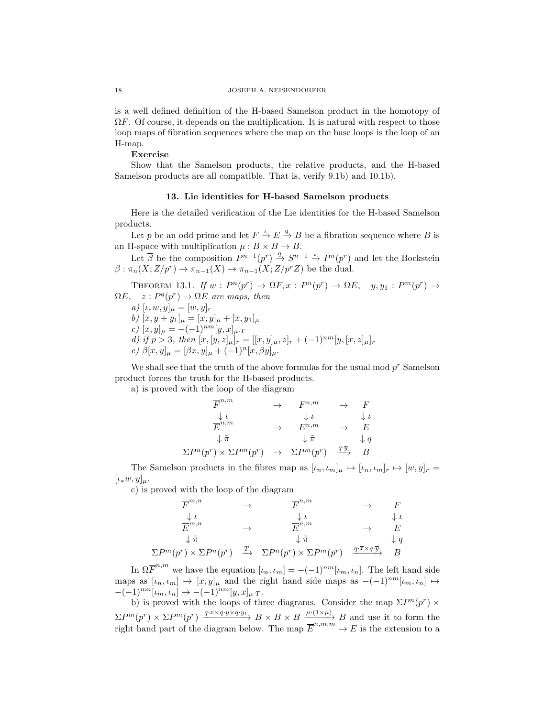is a well defined definition of the H-based Samelson product in the homotopy of  $\Omega$ F. Of course, it depends on the multiplication. It is natural with respect to those loop maps of fibration sequences where the map on the base loops is the loop of an H-map.

### Exercise

Show that the Samelson products, the relative products, and the H-based Samelson products are all compatible. That is, verify 9.1b) and 10.1b).

#### 13. Lie identities for H-based Samelson products

Here is the detailed verification of the Lie identities for the H-based Samelson products.

Let p be an odd prime and let  $F \stackrel{\iota}{\to} E \stackrel{q}{\to} B$  be a fibration sequence where B is an H-space with multiplication  $\mu : B \times B \to B$ .

Let  $\overline{\beta}$  be the composition  $P^{n-1}(p^r) \stackrel{q}{\to} S^{n-1} \stackrel{\iota}{\to} P^n(p^r)$  and let the Bockstein  $\beta: \pi_n(X; Z/p^r) \to \pi_{n-1}(X) \to \pi_{n-1}(X; Z/p^r Z)$  be the dual.

THEOREM 13.1. If  $w: P^n(p^r) \to \Omega F$ ,  $x: P^n(p^r) \to \Omega F$ ,  $y, y_1: P^m(p^r) \to$  $\Omega E$ ,  $z: P^q(p^r) \to \Omega E$  are maps, then a)  $[\iota_* w, y]_\mu = [w, y]_r$ b)  $[x, y + y_1]_\mu = [x, y]_\mu + [x, y_1]_\mu$ c)  $[x, y]_{\mu} = -(-1)^{nm} [y, x]_{\mu \cdot T}$ d) if  $p > 3$ , then  $[x, [y, z]_{\mu}]_r = [[x, y]_{\mu}, z]_r + (-1)^{nm} [y, [x, z]_{\mu}]_r$ 

e)  $\beta[x, y]_{\mu} = [\beta x, y]_{\mu} + (-1)^{n} [x, \beta y]_{\mu}.$ 

We shall see that the truth of the above formulas for the usual mod  $p<sup>r</sup>$  Samelson product forces the truth for the H-based products.

a) is proved with the loop of the diagram

$$
\begin{array}{ccc}\n\overline{F}^{n,m} & \to & F^{n,m} & \to & F \\
\downarrow \iota & & \downarrow \iota & & \downarrow \iota \\
\overline{E}^{n,m} & \to & E^{n,m} & \to & E \\
\downarrow \tilde{\pi} & & \downarrow \tilde{\pi} & & \downarrow q \\
\Sigma P^n(p^r) \times \Sigma P^m(p^r) & \to & \Sigma P^m(p^r) & \xrightarrow{q \cdot \overline{y}} & B\n\end{array}
$$

The Samelson products in the fibres map as  $[\iota_n, \iota_m]_\mu \mapsto [\iota_n, \iota_m]_r \mapsto [w, y]_r =$  $[\iota_*w, y]_\mu.$ 

c) is proved with the loop of the diagram

$$
\begin{array}{ccc}\n\overline{F}^{m,n} & \to & \overline{F}^{n,m} & \to & F \\
\downarrow \iota & & \downarrow \iota & & \downarrow \iota \\
\overline{E}^{m,n} & \to & \overline{E}^{n,m} & \to & E \\
\downarrow \tilde{\pi} & & \downarrow \tilde{\pi} & & \downarrow q \\
\Sigma P^m(p^r) \times \Sigma P^n(p^r) & \xrightarrow{T} & \Sigma P^n(p^r) \times \Sigma P^m(p^r) & \xrightarrow{q \cdot \overline{x} \times q \cdot \overline{y}} & B\n\end{array}
$$

In  $\Omega \overline{F}^{n,m}$  we have the equation  $[\iota_n, \iota_m] = -(-1)^{nm}[\iota_m, \iota_n]$ . The left hand side maps as  $[\iota_n, \iota_m] \mapsto [x, y]_\mu$  and the right hand side maps as  $-(-1)^{nm}[\iota_m, \iota_n] \mapsto$  $-(-1)^{nm}[\iota_m, \iota_n] \mapsto -(-1)^{nm}[y, x]_{\mu \cdot T}$ .

b) is proved with the loops of three diagrams. Consider the map  $\Sigma P^{n}(p^{r}) \times$  $\Sigma P^{m}(p^{r}) \times \Sigma P^{m}(p^{r}) \xrightarrow{q \cdot x \times q \cdot y \times q \cdot y_{1}} B \times B \times B \times B \xrightarrow{\mu \cdot (1 \times \mu)} B$  and use it to form the right hand part of the diagram below. The map  $\overline{E}^{n,m,m} \to E$  is the extension to a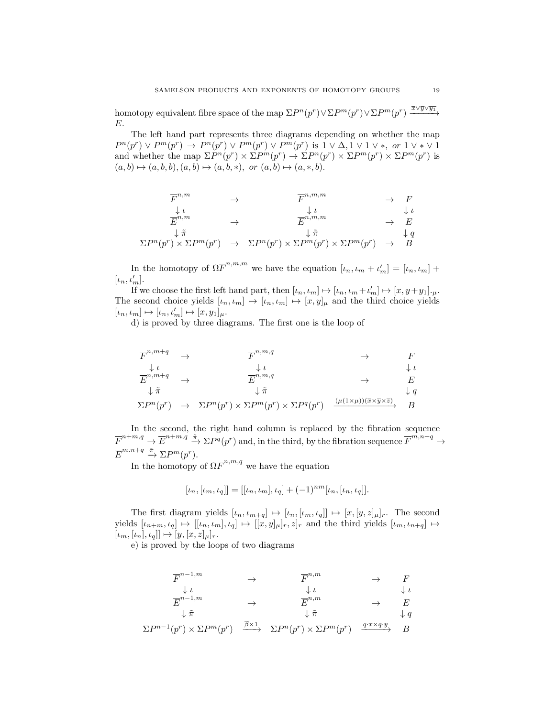homotopy equivalent fibre space of the map  $\Sigma P^{n}(p^r) \vee \Sigma P^{m}(p^r) \vee \Sigma P^{m}(p^r) \stackrel{\overline{x} \vee \overline{y} \vee \overline{y_1}}{\longrightarrow}$ E.

The left hand part represents three diagrams depending on whether the map  $P^{n}(p^{r}) \vee P^{m}(p^{r}) \vee P^{m}(p^{r}) \vee P^{m}(p^{r})$  is  $1 \vee \Delta, 1 \vee 1 \vee *$ , or  $1 \vee * \vee 1$ and whether the map  $\Sigma P^{n}(p^{r}) \times \Sigma P^{m}(p^{r}) \to \Sigma P^{n}(p^{r}) \times \Sigma P^{m}(p^{r}) \times \Sigma P^{m}(p^{r})$  is  $(a, b) \mapsto (a, b, b), (a, b) \mapsto (a, b, *)$ , or  $(a, b) \mapsto (a, *, b)$ .

$$
\begin{array}{ccc}\n\overline{F}^{n,m} & \rightarrow & \overline{F}^{n,m,m} & \rightarrow & F \\
\downarrow \iota & & \downarrow \iota & & \downarrow \iota \\
\overline{E}^{n,m} & \rightarrow & \overline{E}^{n,m,m} & \rightarrow & E \\
\downarrow \tilde{\pi} & & \downarrow \tilde{\pi} & \downarrow q \\
\Sigma P^n(p^r) \times \Sigma P^m(p^r) & \rightarrow & \Sigma P^n(p^r) \times \Sigma P^m(p^r) \times \Sigma P^m(p^r) & \rightarrow & B\n\end{array}
$$

In the homotopy of  $\Omega \overline{F}^{n,m,m}$  we have the equation  $[\iota_n, \iota_m + \iota'_m] = [\iota_n, \iota_m] +$  $[\iota_n,\iota_m'].$ 

If we choose the first left hand part, then  $[\iota_n, \iota_m] \mapsto [\iota_n, \iota_m + \iota'_m] \mapsto [x, y + y_1] \cdot \mu$ . The second choice yields  $[\iota_n, \iota_m] \mapsto [\iota_n, \iota_m] \mapsto [x, y]_\mu$  and the third choice yields  $[\iota_n, \iota_m] \mapsto [\iota_n, \iota'_m] \mapsto [x, y_1]_\mu.$ 

d) is proved by three diagrams. The first one is the loop of

$$
\begin{array}{ccc}\n\overline{F}^{n,m+q} & \to & \overline{F}^{n,m,q} & \to & \overline{F}^{n,m,q} \\
\downarrow \iota & & \downarrow \iota & & \downarrow \iota \\
\overline{E}^{n,m+q} & \to & \overline{E}^{n,m,q} & \to & E \\
\downarrow \tilde{\pi} & & \downarrow \tilde{\pi} & & \downarrow q \\
\Sigma P^n(p^r) & \to & \Sigma P^n(p^r) \times \Sigma P^m(p^r) \times \Sigma P^q(p^r) & \xrightarrow{(\mu(1 \times \mu))( \overline{x} \times \overline{y} \times \overline{z})} & B\n\end{array}
$$

In the second, the right hand column is replaced by the fibration sequence  $\overline{F}^{n+m,q} \to \overline{E}^{n+m,q} \to \Sigma P^q(p^r)$  and, in the third, by the fibration sequence  $\overline{F}^{m,n+q} \to$  $\overline{E}^{m.n+q} \stackrel{\tilde{\pi}}{\rightarrow} \Sigma P^m(p^r).$ 

In the homotopy of  $\Omega \overline{F}^{n,m,q}$  we have the equation

$$
[\iota_n,[\iota_m,\iota_q]] = [[\iota_n,\iota_m],\iota_q] + (-1)^{nm}[\iota_n,[\iota_n,\iota_q]].
$$

The first diagram yields  $[\iota_n, \iota_{m+q}] \mapsto [\iota_n, [\iota_m, \iota_q]] \mapsto [x, [y, z]_\mu]_r$ . The second yields  $[i_{n+m}, i_q] \mapsto [[i_n, i_m], i_q] \mapsto [[x, y]_\mu]_r, z]_r$  and the third yields  $[i_m, i_{n+q}] \mapsto$  $[\iota_m, [\iota_n], \iota_q]] \mapsto [y, [x, z]_{\mu}]_r.$ 

e) is proved by the loops of two diagrams

$$
\overline{F}^{n-1,m} \qquad \longrightarrow \qquad \overline{F}^{n,m} \qquad \longrightarrow \qquad F
$$

$$
\downarrow \iota \qquad \qquad \downarrow \iota \qquad \qquad \downarrow \iota
$$

$$
\overline{E}^{n-1,m} \qquad \longrightarrow \qquad \overline{E}^{n,m} \qquad \longrightarrow \qquad E
$$

$$
\downarrow \tilde{\pi} \qquad \qquad \downarrow \tilde{\pi} \qquad \qquad \downarrow q
$$
\n
$$
r \sim \text{DPR}(r) \qquad \overline{\beta} \times 1 \qquad \text{DPR}(r) \qquad \text{DPR}(r) \qquad \overline{q} \cdot \overline{x} \times q \cdot \overline{y} \qquad \overline{D}
$$

$$
\Sigma P^{n-1}(p^r) \times \Sigma P^m(p^r) \xrightarrow{\beta \times 1} \Sigma P^n(p^r) \times \Sigma P^m(p^r) \xrightarrow{q \cdot x \times q \cdot y} B
$$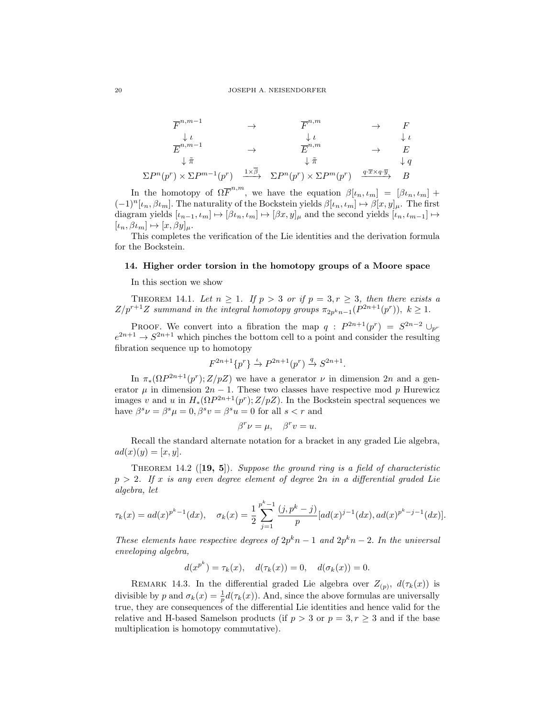| $\overline{F}^{n,m-1}$                             | $\longrightarrow$ | $\overline{F}^{n,m}$                     |                                                  |                    |
|----------------------------------------------------|-------------------|------------------------------------------|--------------------------------------------------|--------------------|
|                                                    |                   |                                          |                                                  | $\downarrow \iota$ |
| $\overline{E}^{n,m-1}$                             |                   | $\overline{E}^{n,m}$                     |                                                  | F.                 |
| $\downarrow \tilde{\pi}$                           |                   | $\downarrow \tilde{\pi}$                 |                                                  | $\downarrow q$     |
| $\Sigma P^{n}(p^{r}) \times \Sigma P^{m-1}(p^{r})$ | $1 \times \beta$  | $\Sigma P^n(p^r) \times \Sigma P^m(p^r)$ | $q\cdot \overline{x} \times q\cdot \overline{y}$ |                    |

In the homotopy of  $\Omega \overline{F}^{n,m}$ , we have the equation  $\beta[i_n, i_m] = [\beta i_n, i_m] +$  $(-1)^n[i_n, \beta i_m]$ . The naturality of the Bockstein yields  $\beta[i_n, i_m] \mapsto \beta[x, y]_\mu$ . The first diagram yields  $[\iota_{n-1}, \iota_m] \mapsto [\beta \iota_n, \iota_m] \mapsto [\beta x, y]_\mu$  and the second yields  $[\iota_n, \iota_{m-1}] \mapsto$  $[\iota_n, \beta \iota_m] \mapsto [x, \beta y]_\mu.$ 

This completes the verification of the Lie identities and the derivation formula for the Bockstein.

#### 14. Higher order torsion in the homotopy groups of a Moore space

In this section we show

THEOREM 14.1. Let  $n \geq 1$ . If  $p > 3$  or if  $p = 3, r \geq 3$ , then there exists a  $Z/p^{r+1}Z$  summand in the integral homotopy groups  $\pi_{2p^kn-1}(P^{2n+1}(p^r)), k \geq 1$ .

PROOF. We convert into a fibration the map  $q : P^{2n+1}(p^r) = S^{2n-2} \cup_{p^r}$  $e^{2n+1} \to S^{2n+1}$  which pinches the bottom cell to a point and consider the resulting fibration sequence up to homotopy

$$
F^{2n+1}\{p^r\} \xrightarrow{\iota} P^{2n+1}(p^r) \xrightarrow{q} S^{2n+1}.
$$

In  $\pi_*(\Omega P^{2n+1}(p^r);Z/pZ)$  we have a generator  $\nu$  in dimension  $2n$  and a generator  $\mu$  in dimension  $2n - 1$ . These two classes have respective mod p Hurewicz images v and u in  $H_*(\Omega P^{2n+1}(p^r); Z/pZ)$ . In the Bockstein spectral sequences we have  $\beta^s \nu = \beta^s \mu = 0$ ,  $\beta^s v = \beta^s u = 0$  for all  $s < r$  and

$$
\beta^r \nu = \mu, \quad \beta^r v = u.
$$

Recall the standard alternate notation for a bracket in any graded Lie algebra,  $ad(x)(y) = [x, y].$ 

THEOREM 14.2 ( $[19, 5]$ ). Suppose the ground ring is a field of characteristic  $p > 2$ . If x is any even degree element of degree 2n in a differential graded Lie algebra, let

$$
\tau_k(x) = ad(x)^{p^k - 1}(dx), \quad \sigma_k(x) = \frac{1}{2} \sum_{j=1}^{p^k - 1} \frac{(j, p^k - j)}{p} [ad(x)^{j-1}(dx), ad(x)^{p^k - j - 1}(dx)].
$$

These elements have respective degrees of  $2p^kn-1$  and  $2p^kn-2$ . In the universal enveloping algebra,

$$
d(x^{p^k}) = \tau_k(x), \quad d(\tau_k(x)) = 0, \quad d(\sigma_k(x)) = 0.
$$

REMARK 14.3. In the differential graded Lie algebra over  $Z_{(p)}$ ,  $d(\tau_k(x))$  is divisible by p and  $\sigma_k(x) = \frac{1}{p} d(\tau_k(x))$ . And, since the above formulas are universally true, they are consequences of the differential Lie identities and hence valid for the relative and H-based Samelson products (if  $p > 3$  or  $p = 3, r \geq 3$  and if the base multiplication is homotopy commutative).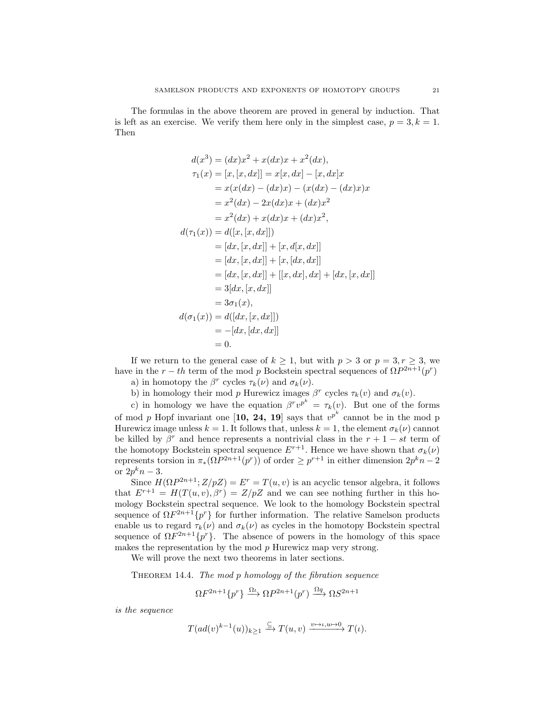The formulas in the above theorem are proved in general by induction. That is left as an exercise. We verify them here only in the simplest case,  $p = 3, k = 1$ . Then

$$
d(x^3) = (dx)x^2 + x(dx)x + x^2(dx),
$$
  
\n
$$
\tau_1(x) = [x, [x, dx]] = x[x, dx] - [x, dx]x
$$
  
\n
$$
= x(x(dx) - (dx)x) - (x(dx) - (dx)x)x
$$
  
\n
$$
= x^2(dx) - 2x(dx)x + (dx)x^2
$$
  
\n
$$
= x^2(dx) + x(dx)x + (dx)x^2,
$$
  
\n
$$
d(\tau_1(x)) = d([x, [x, dx]])
$$
  
\n
$$
= [dx, [x, dx]] + [x, d[x, dx]]
$$
  
\n
$$
= [dx, [x, dx]] + [[x, dx], dx] + [dx, [x, dx]]
$$
  
\n
$$
= 3[dx, [x, dx]]
$$
  
\n
$$
= 3\sigma_1(x),
$$
  
\n
$$
d(\sigma_1(x)) = d([dx, [x, dx]])
$$
  
\n
$$
= -[dx, [dx, dx]]
$$
  
\n
$$
= 0.
$$

If we return to the general case of  $k > 1$ , but with  $p > 3$  or  $p = 3, r > 3$ , we have in the  $r - th$  term of the mod p Bockstein spectral sequences of  $\Omega P^{2n+1}(p^r)$ 

a) in homotopy the  $\beta^r$  cycles  $\tau_k(\nu)$  and  $\sigma_k(\nu)$ .

b) in homology their mod p Hurewicz images  $\beta^r$  cycles  $\tau_k(v)$  and  $\sigma_k(v)$ .

c) in homology we have the equation  $\beta^r v^{p^k} = \tau_k(v)$ . But one of the forms of mod p Hopf invariant one [10, 24, 19] says that  $v^{p^k}$  cannot be in the mod p Hurewicz image unless  $k = 1$ . It follows that, unless  $k = 1$ , the element  $\sigma_k(\nu)$  cannot be killed by  $\beta^r$  and hence represents a nontrivial class in the  $r + 1 - st$  term of the homotopy Bockstein spectral sequence  $E^{r+1}$ . Hence we have shown that  $\sigma_k(\nu)$ represents torsion in  $\pi_*(\Omega P^{2n+1}(p^r))$  of order  $\geq p^{r+1}$  in either dimension  $2p^kn-2$ or  $2p^kn-3$ .

Since  $H(\Omega P^{2n+1}; Z/pZ) = E^r = T(u, v)$  is an acyclic tensor algebra, it follows that  $E^{r+1} = H(T(u, v), \beta^r) = Z/pZ$  and we can see nothing further in this homology Bockstein spectral sequence. We look to the homology Bockstein spectral sequence of  $\Omega F^{2n+1}{p^r}$  for further information. The relative Samelson products enable us to regard  $\tau_k(\nu)$  and  $\sigma_k(\nu)$  as cycles in the homotopy Bockstein spectral sequence of  $\Omega F^{2n+1}\{p^r\}$ . The absence of powers in the homology of this space makes the representation by the mod  $p$  Hurewicz map very strong.

We will prove the next two theorems in later sections.

THEOREM 14.4. The mod p homology of the fibration sequence

$$
\Omega F^{2n+1}\{p^r\} \xrightarrow{\Omega \iota} \Omega P^{2n+1}(p^r) \xrightarrow{\Omega q} \Omega S^{2n+1}
$$

is the sequence

$$
T(ad(v)^{k-1}(u))_{k\geq 1}\xrightarrow{\subseteq} T(u,v)\xrightarrow{v\mapsto \iota, u\mapsto 0} T(\iota).
$$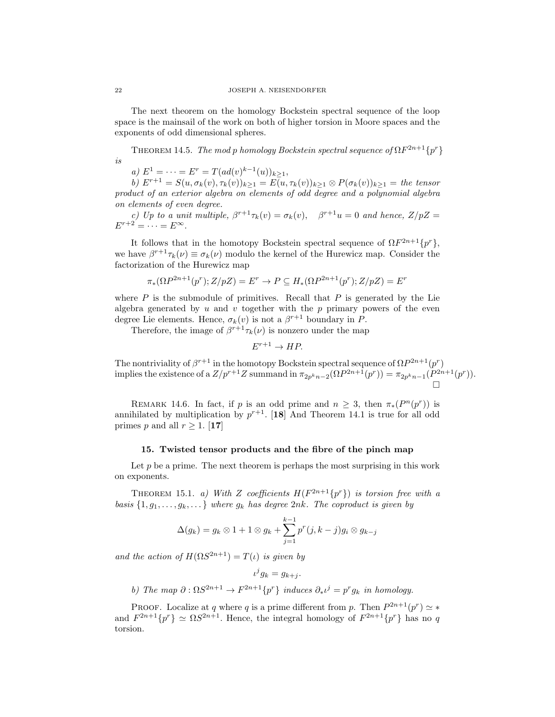The next theorem on the homology Bockstein spectral sequence of the loop space is the mainsail of the work on both of higher torsion in Moore spaces and the exponents of odd dimensional spheres.

THEOREM 14.5. The mod p homology Bockstein spectral sequence of  $\Omega F^{2n+1}\{p^r\}$ is

a)  $E^1 = \cdots = E^r = T(ad(v)^{k-1}(u))_{k \geq 1}$ ,

b)  $E^{r+1} = S(u, \sigma_k(v), \tau_k(v))_{k>1} = E(u, \tau_k(v))_{k>1} \otimes P(\sigma_k(v))_{k>1} =$  the tensor product of an exterior algebra on elements of odd degree and a polynomial algebra on elements of even degree.

c) Up to a unit multiple,  $\beta^{r+1}\tau_k(v) = \sigma_k(v)$ ,  $\beta^{r+1}u = 0$  and hence,  $Z/pZ =$  $E^{r+2} = \cdots = E^{\infty}$ .

It follows that in the homotopy Bockstein spectral sequence of  $\Omega F^{2n+1}{p^r},$ we have  $\beta^{r+1}\tau_k(\nu) \equiv \sigma_k(\nu)$  modulo the kernel of the Hurewicz map. Consider the factorization of the Hurewicz map

$$
\pi_*(\Omega P^{2n+1}(p^r); Z/pZ) = E^r \to P \subseteq H_*(\Omega P^{2n+1}(p^r); Z/pZ) = E^r
$$

where  $P$  is the submodule of primitives. Recall that  $P$  is generated by the Lie algebra generated by  $u$  and  $v$  together with the  $p$  primary powers of the even degree Lie elements. Hence,  $\sigma_k(v)$  is not a  $\beta^{r+1}$  boundary in P.

Therefore, the image of  $\beta^{r+1} \tau_k(\nu)$  is nonzero under the map

$$
E^{r+1} \to HP.
$$

The nontriviality of  $\beta^{r+1}$  in the homotopy Bockstein spectral sequence of  $\Omega P^{2n+1}(p^r)$ implies the existence of a  $Z/p^{r+1}Z$  summand in  $\pi_{2p^kn-2}(\Omega P^{2n+1}(p^r)) = \pi_{2p^kn-1}(P^{2n+1}(p^r)).$  $\Box$ 

REMARK 14.6. In fact, if p is an odd prime and  $n \geq 3$ , then  $\pi_*(P^n(p^r))$  is annihilated by multiplication by  $p^{r+1}$ . [18] And Theorem 14.1 is true for all odd primes p and all  $r \geq 1$ . [17]

### 15. Twisted tensor products and the fibre of the pinch map

Let  $p$  be a prime. The next theorem is perhaps the most surprising in this work on exponents.

THEOREM 15.1. a) With Z coefficients  $H(F^{2n+1}\{p^r\})$  is torsion free with a basis  $\{1, q_1, \ldots, q_k, \ldots\}$  where  $q_k$  has degree  $2nk$ . The coproduct is given by

$$
\Delta(g_k) = g_k \otimes 1 + 1 \otimes g_k + \sum_{j=1}^{k-1} p^r(j, k-j)g_i \otimes g_{k-j}
$$

and the action of  $H(\Omega S^{2n+1}) = T(\iota)$  is given by

 $\iota^j g_k = g_{k+j}.$ 

b) The map  $\partial : \Omega S^{2n+1} \to F^{2n+1}{p^r}$  induces  $\partial_* \iota^j = p^r g_k$  in homology.

PROOF. Localize at q where q is a prime different from p. Then  $P^{2n+1}(p^r) \simeq *$ and  $F^{2n+1}{p^r} \simeq \Omega S^{2n+1}$ . Hence, the integral homology of  $F^{2n+1}{p^r}$  has no q torsion.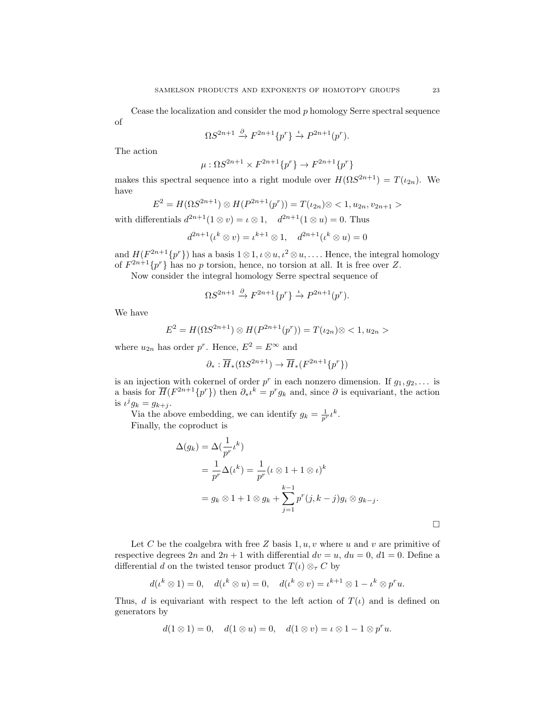Cease the localization and consider the mod  $p$  homology Serre spectral sequence of

$$
\Omega S^{2n+1} \xrightarrow{\partial} F^{2n+1} \{p^r\} \xrightarrow{\iota} P^{2n+1}(p^r).
$$

The action

$$
\mu: \Omega S^{2n+1} \times F^{2n+1}\{p^r\} \to F^{2n+1}\{p^r\}
$$

makes this spectral sequence into a right module over  $H(\Omega S^{2n+1}) = T(\iota_{2n})$ . We have

$$
E^{2} = H(\Omega S^{2n+1}) \otimes H(P^{2n+1}(p^{r})) = T(\iota_{2n}) \otimes \langle 1, u_{2n}, v_{2n+1} \rangle
$$

with differentials  $d^{2n+1}(1 \otimes v) = \iota \otimes 1$ ,  $d^{2n+1}(1 \otimes u) = 0$ . Thus

$$
d^{2n+1}(\iota^k \otimes v) = \iota^{k+1} \otimes 1, \quad d^{2n+1}(\iota^k \otimes u) = 0
$$

and  $H(F^{2n+1}\{p^r\})$  has a basis  $1\otimes 1, \iota\otimes u, \iota^2\otimes u, \ldots$ . Hence, the integral homology of  $F^{2n+1}{p^r}$  has no p torsion, hence, no torsion at all. It is free over Z.

Now consider the integral homology Serre spectral sequence of

$$
\Omega S^{2n+1} \xrightarrow{\partial} F^{2n+1} \{p^r\} \xrightarrow{\iota} P^{2n+1}(p^r).
$$

We have

$$
E^{2} = H(\Omega S^{2n+1}) \otimes H(P^{2n+1}(p^{r})) = T(\iota_{2n}) \otimes \langle 1, u_{2n} \rangle
$$

where  $u_{2n}$  has order p<sup>r</sup>. Hence,  $E^2 = E^{\infty}$  and

$$
\partial_* : \overline{H}_*(\Omega S^{2n+1}) \to \overline{H}_*(F^{2n+1}\{p^r\})
$$

is an injection with cokernel of order  $p^r$  in each nonzero dimension. If  $g_1, g_2, \ldots$  is a basis for  $\overline{H}(F^{2n+1}\{p^r\})$  then  $\partial_*\iota^k = p^r g_k$  and, since  $\partial$  is equivariant, the action is  $\iota^j g_k = g_{k+j}$ .

Via the above embedding, we can identify  $g_k = \frac{1}{p^r} t^k$ . Finally, the coproduct is

$$
\Delta(g_k) = \Delta(\frac{1}{p^r} \iota^k)
$$
  
=  $\frac{1}{p^r} \Delta(\iota^k) = \frac{1}{p^r} (\iota \otimes 1 + 1 \otimes \iota)^k$   
=  $g_k \otimes 1 + 1 \otimes g_k + \sum_{j=1}^{k-1} p^r (j, k - j) g_i \otimes g_{k-j}.$ 

Let C be the coalgebra with free Z basis  $1, u, v$  where u and v are primitive of respective degrees  $2n$  and  $2n + 1$  with differential  $dv = u$ ,  $du = 0$ ,  $d1 = 0$ . Define a differential d on the twisted tensor product  $T(\iota) \otimes_{\tau} C$  by

$$
d(\iota^k \otimes 1) = 0, \quad d(\iota^k \otimes u) = 0, \quad d(\iota^k \otimes v) = \iota^{k+1} \otimes 1 - \iota^k \otimes p^r u.
$$

Thus, d is equivariant with respect to the left action of  $T(\iota)$  and is defined on generators by

$$
d(1\otimes 1) = 0, \quad d(1\otimes u) = 0, \quad d(1\otimes v) = \iota \otimes 1 - 1 \otimes p^r u.
$$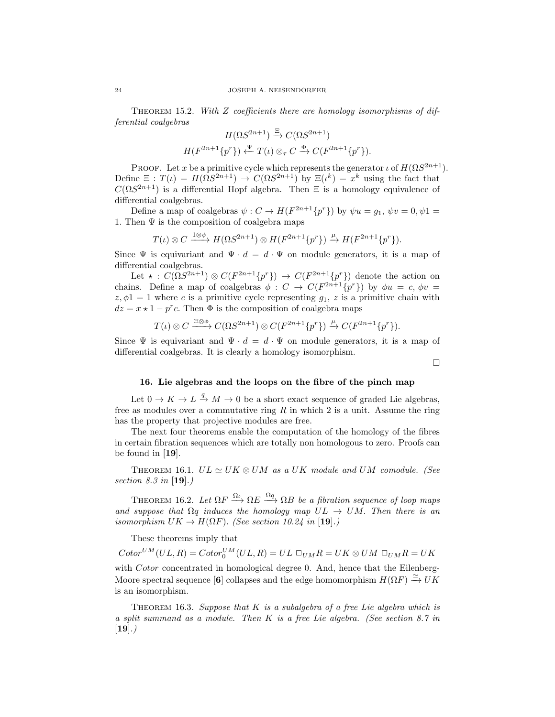Theorem 15.2. With Z coefficients there are homology isomorphisms of differential coalgebras

$$
H(\Omega S^{2n+1}) \xrightarrow{\Xi} C(\Omega S^{2n+1})
$$
  

$$
H(F^{2n+1}\{p^r\}) \xleftarrow{\Psi} T(\iota) \otimes_{\tau} C \xrightarrow{\Phi} C(F^{2n+1}\{p^r\}).
$$

PROOF. Let x be a primitive cycle which represents the generator  $\iota$  of  $H(\Omega S^{2n+1})$ . Define  $\Xi$ :  $T(\iota) = H(\Omega S^{2n+1}) \to C(\Omega S^{2n+1})$  by  $\Xi(\iota^k) = x^k$  using the fact that  $C(\Omega S^{2n+1})$  is a differential Hopf algebra. Then  $\Xi$  is a homology equivalence of differential coalgebras.

Define a map of coalgebras  $\psi : C \to H(F^{2n+1}\{p^r\})$  by  $\psi u = g_1$ ,  $\psi v = 0$ ,  $\psi 1 =$ 1. Then  $\Psi$  is the composition of coalgebra maps

$$
T(\iota)\otimes C \xrightarrow{1\otimes\psi} H(\Omega S^{2n+1})\otimes H(F^{2n+1}\{p^r\}) \xrightarrow{\mu} H(F^{2n+1}\{p^r\}).
$$

Since  $\Psi$  is equivariant and  $\Psi \cdot d = d \cdot \Psi$  on module generators, it is a map of differential coalgebras.

Let  $\star : C(\Omega S^{2n+1}) \otimes C(F^{2n+1}\{p^r\}) \rightarrow C(F^{2n+1}\{p^r\})$  denote the action on chains. Define a map of coalgebras  $\phi : C \to C(F^{2n+1}\{p^r\})$  by  $\phi u = c, \phi v = c$  $z, \phi$ 1 = 1 where c is a primitive cycle representing  $g_1, z$  is a primitive chain with  $dz = x \star 1 - p^r c$ . Then  $\Phi$  is the composition of coalgebra maps

$$
T(\iota) \otimes C \xrightarrow{\Xi \otimes \phi} C(\Omega S^{2n+1}) \otimes C(F^{2n+1}\{p^r\}) \xrightarrow{\mu} C(F^{2n+1}\{p^r\}).
$$

Since  $\Psi$  is equivariant and  $\Psi \cdot d = d \cdot \Psi$  on module generators, it is a map of differential coalgebras. It is clearly a homology isomorphism.

 $\Box$ 

### 16. Lie algebras and the loops on the fibre of the pinch map

Let  $0 \to K \to L \stackrel{q}{\to} M \to 0$  be a short exact sequence of graded Lie algebras, free as modules over a commutative ring  $R$  in which 2 is a unit. Assume the ring has the property that projective modules are free.

The next four theorems enable the computation of the homology of the fibres in certain fibration sequences which are totally non homologous to zero. Proofs can be found in [19].

THEOREM 16.1.  $UL \simeq UK \otimes UM$  as a UK module and UM comodule. (See section 8.3 in [19].)

THEOREM 16.2. Let  $\Omega F \xrightarrow{\Omega \iota} \Omega E \xrightarrow{\Omega q} \Omega B$  be a fibration sequence of loop maps and suppose that  $\Omega q$  induces the homology map  $UL \rightarrow UM$ . Then there is an isomorphism  $UK \rightarrow H(\Omega F)$ . (See section 10.24 in [19].)

These theorems imply that

 $Cotor^{UM}(UL, R) = Cotor_0^{UM}(UL, R) = UL \square_{UM} R = UK \otimes UM \square_{UM} R = UK$ with Cotor concentrated in homological degree 0. And, hence that the Eilenberg-Moore spectral sequence [6] collapses and the edge homomorphism  $H(\Omega F) \xrightarrow{\simeq} UK$ is an isomorphism.

THEOREM 16.3. Suppose that  $K$  is a subalgebra of a free Lie algebra which is a split summand as a module. Then K is a free Lie algebra. (See section 8.7 in  $\lceil 19 \rceil$ .)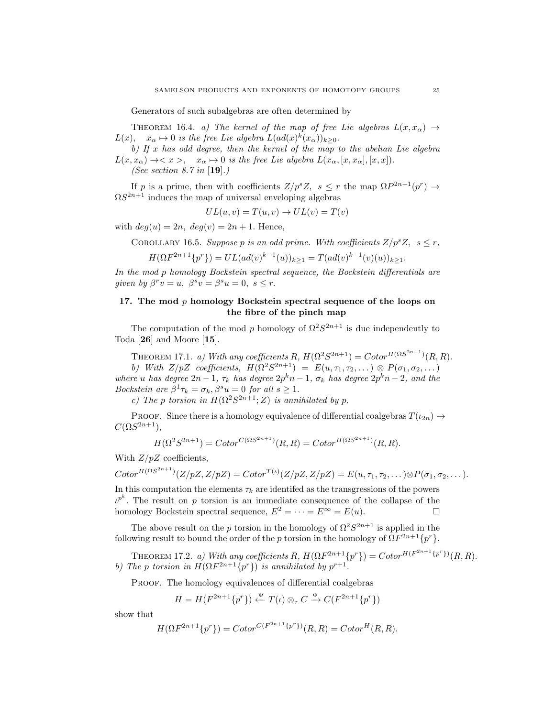Generators of such subalgebras are often determined by

THEOREM 16.4. a) The kernel of the map of free Lie algebras  $L(x, x_{\alpha}) \rightarrow$  $L(x)$ ,  $x_{\alpha} \mapsto 0$  is the free Lie algebra  $L(ad(x)^{k}(x_{\alpha}))_{k\geq 0}$ .

b) If  $x$  has odd degree, then the kernel of the map to the abelian Lie algebra  $L(x, x_{\alpha}) \rightarrow < x >$ ,  $x_{\alpha} \mapsto 0$  is the free Lie algebra  $L(x_{\alpha}, [x, x_{\alpha}], [x, x])$ .

(See section 8.7 in  $[19]$ .)

If p is a prime, then with coefficients  $Z/p^sZ$ ,  $s \leq r$  the map  $\Omega P^{2n+1}(p^r) \to$  $\Omega S^{2n+1}$  induces the map of universal enveloping algebras

$$
UL(u, v) = T(u, v) \rightarrow UL(v) = T(v)
$$

with  $deg(u) = 2n$ ,  $deg(v) = 2n + 1$ . Hence,

COROLLARY 16.5. Suppose p is an odd prime. With coefficients  $Z/p^sZ$ ,  $s \leq r$ ,

$$
H(\Omega F^{2n+1}\{p^r\}) = UL(ad(v)^{k-1}(u))_{k\geq 1} = T(ad(v)^{k-1}(v)(u))_{k\geq 1}.
$$

In the mod p homology Bockstein spectral sequence, the Bockstein differentials are given by  $\beta^r v = u$ ,  $\beta^s v = \beta^s u = 0$ ,  $s \leq r$ .

# 17. The mod  $p$  homology Bockstein spectral sequence of the loops on the fibre of the pinch map

The computation of the mod p homology of  $\Omega^2 S^{2n+1}$  is due independently to Toda [26] and Moore [15].

THEOREM 17.1. a) With any coefficients R,  $H(\Omega^2 S^{2n+1}) = Cotor^{H(\Omega S^{2n+1})}(R, R)$ .

b) With  $Z/pZ$  coefficients,  $H(\Omega^2 S^{2n+1}) = E(u, \tau_1, \tau_2, ...) \otimes P(\sigma_1, \sigma_2, ...)$ where u has degree  $2n-1$ ,  $\tau_k$  has degree  $2p^k n-1$ ,  $\sigma_k$  has degree  $2p^k n-2$ , and the Bockstein are  $\beta^1 \tau_k = \sigma_k$ ,  $\beta^s u = 0$  for all  $s \ge 1$ .

c) The p torsion in  $H(\Omega^2 S^{2n+1}; Z)$  is annihilated by p.

PROOF. Since there is a homology equivalence of differential coalgebras  $T(\iota_{2n}) \to$  $C(\Omega S^{2n+1}),$ 

$$
H(\Omega^2 S^{2n+1}) = Cotor^{C(\Omega S^{2n+1})}(R, R) = Cotor^{H(\Omega S^{2n+1})}(R, R).
$$

With  $Z/pZ$  coefficients,

 $Cotor^{H(\Omega S^{2n+1})}(Z/pZ, Z/pZ) = Cotor^{T(\iota)}(Z/pZ, Z/pZ) = E(u, \tau_1, \tau_2, \dots) \otimes P(\sigma_1, \sigma_2, \dots).$ 

In this computation the elements  $\tau_k$  are identifed as the transgressions of the powers  $u^{p^k}$ . The result on p torsion is an immediate consequence of the collapse of the homology Bockstein spectral sequence,  $E^2 = \cdots = E^{\infty} = E(u)$ .

The above result on the p torsion in the homology of  $\Omega^2 S^{2n+1}$  is applied in the following result to bound the order of the p torsion in the homology of  $\Omega F^{2n+1}{p^r}$ .

THEOREM 17.2. a) With any coefficients R,  $H(\Omega F^{2n+1}{p^r}) = Cotor^{H(F^{2n+1}{p^r})}(R, R)$ . b) The p torsion in  $H(\Omega F^{2n+1}{p^r})$  is annihilated by  $p^{r+1}$ .

PROOF. The homology equivalences of differential coalgebras

$$
H = H(F^{2n+1}\{p^r\}) \xleftarrow{\Psi} T(\iota) \otimes_{\tau} C \xrightarrow{\Phi} C(F^{2n+1}\{p^r\})
$$

show that

$$
H(\Omega F^{2n+1}\{p^r\}) = Cotor^{C(F^{2n+1}\{p^r\})}(R, R) = Cotor^H(R, R).
$$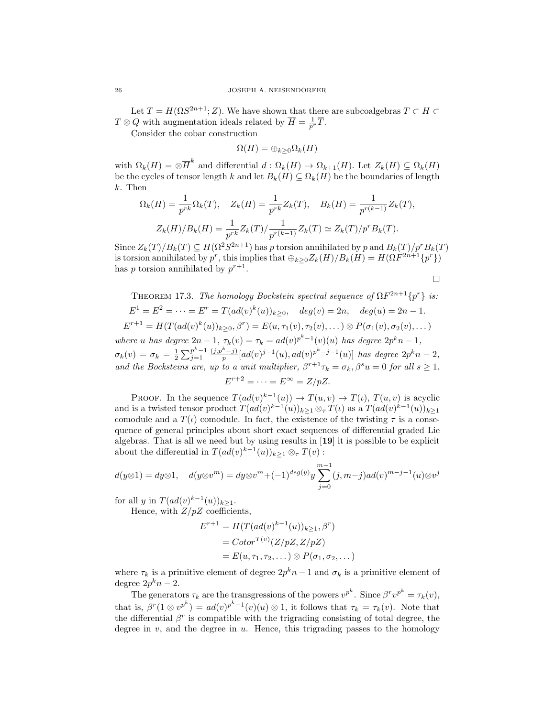Let  $T = H(\Omega S^{2n+1}; Z)$ . We have shown that there are subcoalgebras  $T \subset H \subset$  $T \otimes Q$  with augmentation ideals related by  $\overline{H} = \frac{1}{p^r}\overline{T}$ .

Consider the cobar construction

 $\Omega(H) = \oplus_{k>0} \Omega_k(H)$ 

with  $\Omega_k(H) = \otimes \overline{H}^k$  and differential  $d: \Omega_k(H) \to \Omega_{k+1}(H)$ . Let  $Z_k(H) \subseteq \Omega_k(H)$ be the cycles of tensor length k and let  $B_k(H) \subseteq \Omega_k(H)$  be the boundaries of length k. Then

$$
\Omega_k(H) = \frac{1}{p^{rk}} \Omega_k(T), \quad Z_k(H) = \frac{1}{p^{rk}} Z_k(T), \quad B_k(H) = \frac{1}{p^{r(k-1)}} Z_k(T),
$$

$$
Z_k(H)/B_k(H) = \frac{1}{p^{rk}} Z_k(T)/\frac{1}{p^{r(k-1)}} Z_k(T) \simeq Z_k(T)/p^r B_k(T).
$$

Since  $Z_k(T)/B_k(T) \subseteq H(\Omega^2 S^{2n+1})$  has p torsion annihilated by p and  $B_k(T)/p^rB_k(T)$ is torsion annihilated by  $p^r$ , this implies that  $\bigoplus_{k\geq 0} Z_k(H)/B_k(H) = H(\Omega F^{2n+1}{p^r})$ has p torsion annihilated by  $p^{r+1}$ .

 $\Box$ 

THEOREM 17.3. The homology Bockstein spectral sequence of  $\Omega F^{2n+1}{p^r}$  is:  $E^1 = E^2 = \cdots = E^r = T(ad(v)^k(u))_{k \ge 0}, \quad deg(v) = 2n, \quad deg(u) = 2n - 1.$  $E^{r+1} = H(T(ad(v)^k(u))_{k \geq 0}, \beta^r) = E(u, \tau_1(v), \tau_2(v), \dots) \otimes P(\sigma_1(v), \sigma_2(v), \dots)$ where u has degree  $2n-1$ ,  $\tau_k(v) = \tau_k = ad(v)^{p^k-1}(v)(u)$  has degree  $2p^k n - 1$ ,

 $\sigma_k(v) = \sigma_k = \frac{1}{2} \sum_{j=1}^{p^k-1} \frac{(j, p^k - j)}{p}$  $\frac{p^{k}-j}{p}[ad(v)^{j-1}(u), ad(v)^{p^{k}-j-1}(u)]$  has degree  $2p^{k}n-2$ , and the Bocksteins are, up to a unit multiplier,  $\beta^{r+1}\tau_k = \sigma_k$ ,  $\beta^s u = 0$  for all  $s \ge 1$ .  $E^{r+2} = \cdots = E^{\infty} = Z/pZ.$ 

PROOF. In the sequence  $T(ad(v)^{k-1}(u)) \to T(u,v) \to T(v)$ ,  $T(u,v)$  is acyclic and is a twisted tensor product  $T(ad(v)^{k-1}(u))_{k\geq 1}\otimes_{\tau}T(\iota)$  as a  $T(ad(v)^{k-1}(u))_{k\geq 1}$ comodule and a  $T(\iota)$  comodule. In fact, the existence of the twisting  $\tau$  is a consequence of general principles about short exact sequences of differential graded Lie algebras. That is all we need but by using results in [19] it is possible to be explicit about the differential in  $T(ad(v)^{k-1}(u))_{k\geq 1}\otimes_{\tau}T(v)$ :

$$
d(y\otimes 1) = dy\otimes 1, \quad d(y\otimes v^m) = dy\otimes v^m + (-1)^{deg(y)}y\sum_{j=0}^{m-1}(j,m-j)ad(v)^{m-j-1}(u)\otimes v^j
$$

for all y in  $T(ad(v)^{k-1}(u))_{k\geq 1}$ .

Hence, with  $Z/pZ$  coefficients,

$$
E^{r+1} = H(T(ad(v)^{k-1}(u))_{k \ge 1}, \beta^r)
$$
  
=  $Cotor^{T(v)}(Z/pZ, Z/pZ)$   
=  $E(u, \tau_1, \tau_2, \dots) \otimes P(\sigma_1, \sigma_2, \dots)$ 

where  $\tau_k$  is a primitive element of degree  $2p^k n - 1$  and  $\sigma_k$  is a primitive element of degree  $2p^kn-2$ .

The generators  $\tau_k$  are the transgressions of the powers  $v^{p^k}$ . Since  $\beta^r v^{p^k} = \tau_k(v)$ , that is,  $\beta^r(1 \otimes v^{p^k}) = ad(v)^{p^k-1}(v)(u) \otimes 1$ , it follows that  $\tau_k = \tau_k(v)$ . Note that the differential  $\beta^r$  is compatible with the trigrading consisting of total degree, the degree in v, and the degree in u. Hence, this trigrading passes to the homology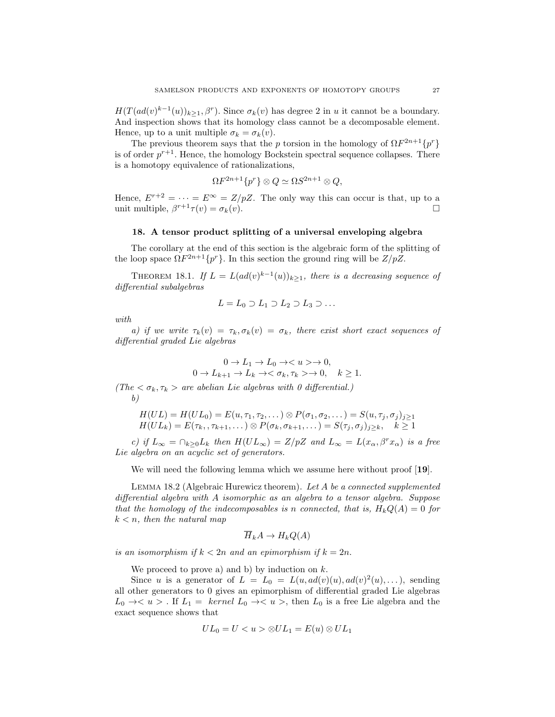$H(T(ad(v)^{k-1}(u))_{k\geq 1}, \beta^r)$ . Since  $\sigma_k(v)$  has degree 2 in u it cannot be a boundary. And inspection shows that its homology class cannot be a decomposable element. Hence, up to a unit multiple  $\sigma_k = \sigma_k(v)$ .

The previous theorem says that the p torsion in the homology of  $\Omega F^{2n+1}{p^r}$ is of order  $p^{r+1}$ . Hence, the homology Bockstein spectral sequence collapses. There is a homotopy equivalence of rationalizations,

$$
\Omega F^{2n+1}\{p^r\} \otimes Q \simeq \Omega S^{2n+1} \otimes Q,
$$

Hence,  $E^{r+2} = \cdots = E^{\infty} = Z/pZ$ . The only way this can occur is that, up to a unit multiple,  $\beta^{r+1}\tau(v) = \sigma_k(v)$ .

#### 18. A tensor product splitting of a universal enveloping algebra

The corollary at the end of this section is the algebraic form of the splitting of the loop space  $\Omega F^{2n+1}{p^r}$ . In this section the ground ring will be  $Z/pZ$ .

THEOREM 18.1. If  $L = L(ad(v)^{k-1}(u))_{k \geq 1}$ , there is a decreasing sequence of differential subalgebras

$$
L = L_0 \supset L_1 \supset L_2 \supset L_3 \supset \dots
$$

with

a) if we write  $\tau_k(v) = \tau_k, \sigma_k(v) = \sigma_k$ , there exist short exact sequences of differential graded Lie algebras

$$
0 \to L_1 \to L_0 \to 0,0 \to L_{k+1} \to L_k \to <\sigma_k, \tau_k>>0, \quad k \ge 1.
$$

(The  $\langle \sigma_k, \tau_k \rangle$  are abelian Lie algebras with 0 differential.) b)

$$
H(UL) = H(UL_0) = E(u, \tau_1, \tau_2, \dots) \otimes P(\sigma_1, \sigma_2, \dots) = S(u, \tau_j, \sigma_j)_{j \ge 1}
$$
  

$$
H(UL_k) = E(\tau_k, \tau_{k+1}, \dots) \otimes P(\sigma_k, \sigma_{k+1}, \dots) = S(\tau_j, \sigma_j)_{j \ge k}, \quad k \ge 1
$$

c) if  $L_{\infty} = \bigcap_{k \geq 0} L_k$  then  $H(UL_{\infty}) = Z/pZ$  and  $L_{\infty} = L(x_{\alpha}, \beta^r x_{\alpha})$  is a free Lie algebra on an acyclic set of generators.

We will need the following lemma which we assume here without proof [19].

LEMMA 18.2 (Algebraic Hurewicz theorem). Let A be a connected supplemented differential algebra with A isomorphic as an algebra to a tensor algebra. Suppose that the homology of the indecomposables is n connected, that is,  $H_kQ(A) = 0$  for  $k < n$ , then the natural map

$$
\overline{H}_k A \to H_k Q(A)
$$

is an isomorphism if  $k < 2n$  and an epimorphism if  $k = 2n$ .

We proceed to prove a) and b) by induction on  $k$ .

Since u is a generator of  $L = L_0 = L(u, ad(v)(u), ad(v)^2(u), \dots)$ , sending all other generators to 0 gives an epimorphism of differential graded Lie algebras  $L_0 \rightarrow < u >$ . If  $L_1 = \text{kernel } L_0 \rightarrow < u >$ , then  $L_0$  is a free Lie algebra and the exact sequence shows that

$$
UL_0 = U < u > \otimes UL_1 = E(u) \otimes UL_1
$$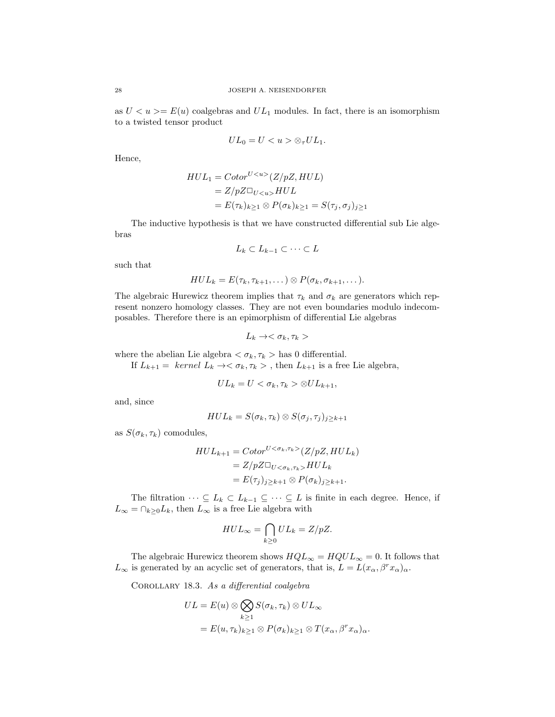as  $U < u > E(u)$  coalgebras and  $UL_1$  modules. In fact, there is an isomorphism to a twisted tensor product

$$
UL_0 = U < u > \otimes_{\tau} UL_1.
$$

Hence,

$$
HUL_1 = Cotor^{U < u>}(Z/pZ, HUL)
$$
  
=  $Z/pZ\square_{U < u>} HUL$   
=  $E(\tau_k)_{k\geq 1} \otimes P(\sigma_k)_{k\geq 1} = S(\tau_j, \sigma_j)_{j\geq 1}$ 

The inductive hypothesis is that we have constructed differential sub Lie algebras

$$
L_k \subset L_{k-1} \subset \cdots \subset L
$$

such that

$$
HUL_k = E(\tau_k, \tau_{k+1}, \dots) \otimes P(\sigma_k, \sigma_{k+1}, \dots).
$$

The algebraic Hurewicz theorem implies that  $\tau_k$  and  $\sigma_k$  are generators which represent nonzero homology classes. They are not even boundaries modulo indecomposables. Therefore there is an epimorphism of differential Lie algebras

$$
L_k \to <\sigma_k, \tau_k>
$$

where the abelian Lie algebra  $\langle \sigma_k, \tau_k \rangle$  has 0 differential.

If  $L_{k+1} = \text{kernel } L_k \to <\sigma_k, \tau_k>$ , then  $L_{k+1}$  is a free Lie algebra,

$$
UL_k = U < \sigma_k, \tau_k > \otimes UL_{k+1},
$$

and, since

$$
HUL_k=S(\sigma_k,\tau_k)\otimes S(\sigma_j,\tau_j)_{j\geq k+1}
$$

as  $S(\sigma_k, \tau_k)$  comodules,

$$
HUL_{k+1} = Cotor^{U < \sigma_k, \tau_k>} (Z/pZ, HUL_k)
$$
  
=  $Z/pZ\square_{U < \sigma_k, \tau_k>} HUL_k$   
=  $E(\tau_j)_{j \ge k+1} \otimes P(\sigma_k)_{j \ge k+1}.$ 

The filtration  $\cdots \subseteq L_k \subset L_{k-1} \subseteq \cdots \subseteq L$  is finite in each degree. Hence, if  $L_{\infty} = \bigcap_{k \geq 0} L_k$ , then  $L_{\infty}$  is a free Lie algebra with

$$
HUL_{\infty} = \bigcap_{k \geq 0} UL_k = Z/pZ.
$$

The algebraic Hurewicz theorem shows  $HQL_{\infty} = HQUL_{\infty} = 0$ . It follows that  $L_{\infty}$  is generated by an acyclic set of generators, that is,  $L = L(x_{\alpha}, \beta^{r} x_{\alpha})_{\alpha}$ .

Corollary 18.3. As a differential coalgebra

$$
UL = E(u) \otimes \bigotimes_{k \ge 1} S(\sigma_k, \tau_k) \otimes UL_{\infty}
$$
  
=  $E(u, \tau_k)_{k \ge 1} \otimes P(\sigma_k)_{k \ge 1} \otimes T(x_{\alpha}, \beta^r x_{\alpha})_{\alpha}.$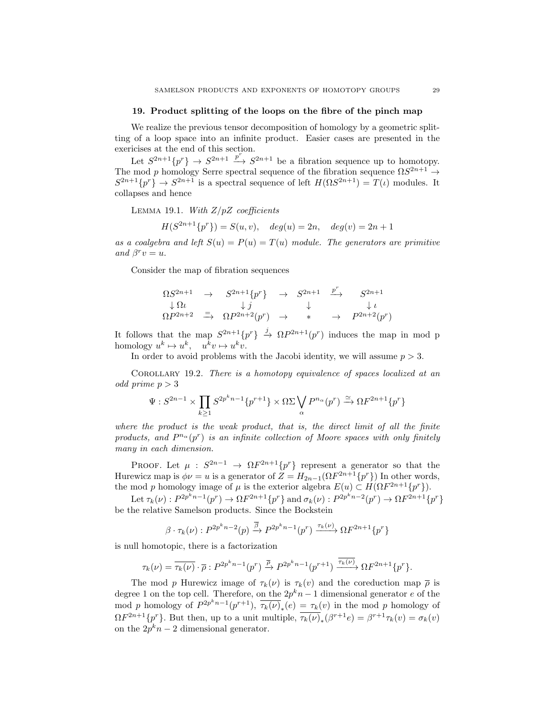#### 19. Product splitting of the loops on the fibre of the pinch map

We realize the previous tensor decomposition of homology by a geometric splitting of a loop space into an infinite product. Easier cases are presented in the exericises at the end of this section.

Let  $S^{2n+1}{p^r} \to S^{2n+1} \stackrel{p^r}{\longrightarrow} S^{2n+1}$  be a fibration sequence up to homotopy. The mod p homology Serre spectral sequence of the fibration sequence  $\Omega S^{2n+1} \to$  $S^{2n+1}\{p^r\} \to S^{2n+1}$  is a spectral sequence of left  $H(\Omega S^{2n+1}) = T(\iota)$  modules. It collapses and hence

LEMMA 19.1. With  $Z/pZ$  coefficients

$$
H(S^{2n+1}\{p^r\}) = S(u, v), \quad deg(u) = 2n, \quad deg(v) = 2n + 1
$$

as a coalgebra and left  $S(u) = P(u) = T(u)$  module. The generators are primitive and  $\beta^r v = u$ .

Consider the map of fibration sequences

$$
\begin{array}{ccc}\n\Omega S^{2n+1} & \rightarrow & S^{2n+1} \{p^r\} & \rightarrow & S^{2n+1} & \xrightarrow{p^r} & S^{2n+1} \\
\downarrow \Omega \iota & \downarrow j & \downarrow & \downarrow \iota \\
\Omega P^{2n+2} & \equiv & \Omega P^{2n+2}(p^r) & \rightarrow & \ast & \rightarrow & P^{2n+2}(p^r)\n\end{array}
$$

It follows that the map  $S^{2n+1}{p^r} \stackrel{j}{\to} \Omega P^{2n+1}(p^r)$  induces the map in mod p homology  $u^k \mapsto u^k$ ,  $u^k v \mapsto u^k v$ .

In order to avoid problems with the Jacobi identity, we will assume  $p > 3$ .

Corollary 19.2. There is a homotopy equivalence of spaces localized at an odd prime  $p > 3$ 

$$
\Psi: S^{2n-1} \times \prod_{k \geq 1} S^{2p^kn-1} \{p^{r+1}\} \times \Omega\Sigma \bigvee_{\alpha} P^{n_{\alpha}}(p^r) \xrightarrow{\simeq} \Omega F^{2n+1} \{p^r\}
$$

where the product is the weak product, that is, the direct limit of all the finite products, and  $P^{n_{\alpha}}(p^r)$  is an infinite collection of Moore spaces with only finitely many in each dimension.

PROOF. Let  $\mu : S^{2n-1} \to \Omega F^{2n+1} \{p^r\}$  represent a generator so that the Hurewicz map is  $\phi \nu = u$  is a generator of  $Z = H_{2n-1}(\Omega F^{2n+1}\{p^r\})$  In other words, the mod p homology image of  $\mu$  is the exterior algebra  $E(u) \subset H(\Omega F^{2n+1}{p^r}).$ 

Let  $\tau_k(\nu) : P^{2p^kn-1}(p^r) \to \Omega F^{2n+1}\{p^r\}$  and  $\sigma_k(\nu) : P^{2p^kn-2}(p^r) \to \Omega F^{2n+1}\{p^r\}$ be the relative Samelson products. Since the Bockstein

$$
\beta \cdot \tau_k(\nu) : P^{2p^kn-2}(p) \stackrel{\overline{\beta}}{\rightarrow} P^{2p^kn-1}(p^r) \xrightarrow{\tau_k(\nu)} \Omega F^{2n+1}\{p^r\}
$$

is null homotopic, there is a factorization

$$
\tau_k(\nu) = \overline{\tau_k(\nu)} \cdot \overline{\rho} : P^{2p^kn-1}(p^r) \xrightarrow{\overline{\rho}} P^{2p^kn-1}(p^{r+1}) \xrightarrow{\overline{\tau_k(\nu)}} \Omega F^{2n+1}\{p^r\}.
$$

The mod p Hurewicz image of  $\tau_k(\nu)$  is  $\tau_k(v)$  and the coreduction map  $\bar{\rho}$  is degree 1 on the top cell. Therefore, on the  $2p^kn-1$  dimensional generator  $e$  of the mod p homology of  $P^{2p^kn-1}(p^{r+1}), \overline{\tau_k(\nu)}_*(e) = \tau_k(v)$  in the mod p homology of  $\Omega F^{2n+1}{p^r}$ . But then, up to a unit multiple,  $\overline{\tau_k(\nu)}_*(\beta^{r+1}e) = \beta^{r+1}\tau_k(v) = \sigma_k(v)$ on the  $2p^k n - 2$  dimensional generator.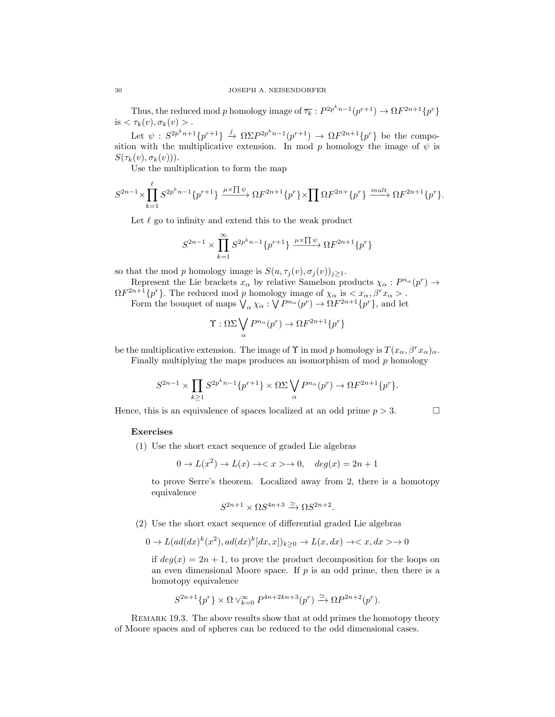Thus, the reduced mod p homology image of  $\overline{\tau_k}$  :  $P^{2p^kn-1}(p^{r+1}) \to \Omega F^{2n+1}\{p^r\}$ is  $<\tau_k(v), \sigma_k(v)>.$ 

Let  $\psi$ :  $S^{2p^kn+1}{p^{r+1}}\longrightarrow \Omega \Sigma P^{2p^kn-1}(p^{r+1}) \longrightarrow \Omega F^{2n+1}{p^{r}}$  be the composition with the multiplicative extension. In mod p homology the image of  $\psi$  is  $S(\tau_k(v), \sigma_k(v))$ .

Use the multiplication to form the map

$$
S^{2n-1} \times \prod_{k=1}^{\ell} S^{2p^k n-1} \{p^{r+1}\} \xrightarrow{\mu \times \prod \psi} \Omega F^{2n+1} \{p^r\} \times \prod \Omega F^{2n+} \{p^r\} \xrightarrow{mult} \Omega F^{2n+1} \{p^r\}.
$$

Let  $\ell$  go to infinity and extend this to the weak product

$$
S^{2n-1} \times \prod_{k=1}^{\infty} S^{2p^k n - 1} \{p^{r+1}\} \xrightarrow{\mu \times \prod \psi} \Omega F^{2n+1} \{p^r\}
$$

so that the mod p homology image is  $S(u, \tau_i(v), \sigma_i(v))_{i \geq 1}$ .

Represent the Lie brackets  $x_{\alpha}$  by relative Samelson products  $\chi_{\alpha}: P^{n_{\alpha}}(p^r) \to$  $\Omega F^{2n+1}{p^r}$ . The reduced mod p homology image of  $\chi_{\alpha}$  is  $\langle x_{\alpha}, \beta^r x_{\alpha} \rangle$ .

Form the bouquet of maps  $\bigvee_{\alpha} \chi_{\alpha} : \bigvee P^{n_{\alpha}}(p^r) \to \Omega F^{2n+1}\{p^r\}$ , and let

$$
\Upsilon : \Omega \Sigma \bigvee_{\alpha} P^{n_{\alpha}}(p^r) \to \Omega F^{2n+1}\{p^r\}
$$

be the multiplicative extension. The image of  $\Upsilon$  in mod p homology is  $T(x_\alpha, \beta^r x_\alpha)_\alpha$ .

Finally multiplying the maps produces an isomorphism of mod  $p$  homology

$$
S^{2n-1}\times \prod_{k\geq 1}S^{2p^kn-1}\{p^{r+1}\}\times \Omega\Sigma\bigvee_{\alpha}P^{n_\alpha}(p^r)\to \Omega F^{2n+1}\{p^r\}.
$$

Hence, this is an equivalence of spaces localized at an odd prime  $p > 3$ .

### Exercises

(1) Use the short exact sequence of graded Lie algebras

$$
0 \to L(x^2) \to L(x) \to \to 0, \quad deg(x) = 2n + 1
$$

to prove Serre's theorem. Localized away from 2, there is a homotopy equivalence

$$
S^{2n+1}\times \Omega S^{4n+3} \xrightarrow{\simeq} \Omega S^{2n+2}.
$$

(2) Use the short exact sequence of differential graded Lie algebras

$$
0 \to L(ad(dx)^k(x^2), ad(dx)^k[dx,x])_{k\geq 0} \to L(x,dx) \to \to 0
$$

if  $deg(x) = 2n + 1$ , to prove the product decomposition for the loops on an even dimensional Moore space. If  $p$  is an odd prime, then there is a homotopy equivalence

$$
S^{2n+1}\{p^r\} \times \Omega \vee_{k=0}^{\infty} P^{4n+2kn+3}(p^r) \xrightarrow{\simeq} \Omega P^{2n+2}(p^r).
$$

REMARK 19.3. The above results show that at odd primes the homotopy theory of Moore spaces and of spheres can be reduced to the odd dimensional cases.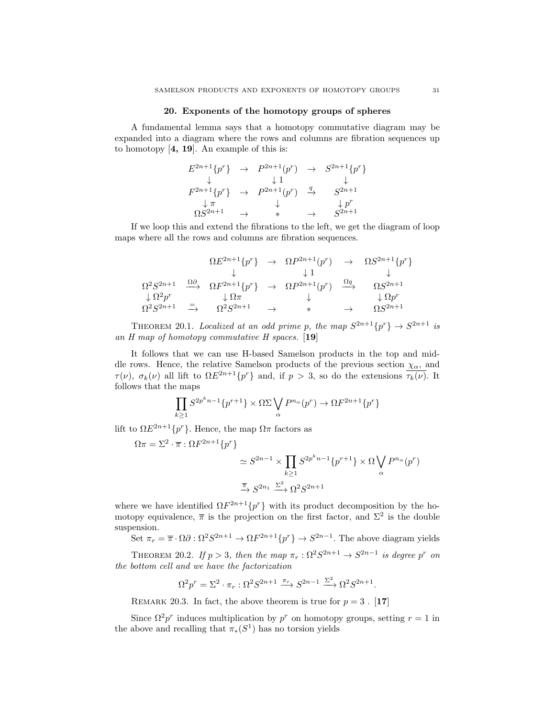### 20. Exponents of the homotopy groups of spheres

A fundamental lemma says that a homotopy commutative diagram may be expanded into a diagram where the rows and columns are fibration sequences up to homotopy [4, 19]. An example of this is:

$$
E^{2n+1}\lbrace p^r \rbrace \rightarrow P^{2n+1}(p^r) \rightarrow S^{2n+1}\lbrace p^r \rbrace
$$
  
\n
$$
\downarrow 1 \qquad \qquad \downarrow 1
$$
  
\n
$$
F^{2n+1}\lbrace p^r \rbrace \rightarrow P^{2n+1}(p^r) \stackrel{q}{\rightarrow} S^{2n+1}
$$
  
\n
$$
\downarrow \pi \qquad \qquad \downarrow \qquad \qquad \downarrow p^r
$$
  
\n
$$
\Omega S^{2n+1} \rightarrow \qquad \qquad \star \qquad \rightarrow \qquad S^{2n+1}
$$

If we loop this and extend the fibrations to the left, we get the diagram of loop maps where all the rows and columns are fibration sequences.

$$
\Omega E^{2n+1}\{p^r\} \rightarrow \Omega P^{2n+1}(p^r) \rightarrow \Omega S^{2n+1}\{p^r\} \n\downarrow \downarrow 1 \qquad \downarrow
$$
\n
$$
\Omega^2 S^{2n+1} \xrightarrow{\Omega \partial} \Omega F^{2n+1}\{p^r\} \rightarrow \Omega P^{2n+1}(p^r) \xrightarrow{\Omega q} \Omega S^{2n+1} \n\downarrow \Omega^2 p^r \qquad \downarrow \Omega \pi \qquad \downarrow \qquad \downarrow \Omega p^r \n\Omega^2 S^{2n+1} \Rightarrow \Omega^2 S^{2n+1} \rightarrow \qquad \star \qquad \to \qquad \Omega S^{2n+1}
$$

THEOREM 20.1. Localized at an odd prime p, the map  $S^{2n+1}{p^r} \to S^{2n+1}$  is an H map of homotopy commutative H spaces.  $[19]$ 

It follows that we can use H-based Samelson products in the top and middle rows. Hence, the relative Samelson products of the previous section  $\chi_{\alpha}$ , and  $\tau(\nu)$ ,  $\sigma_k(\nu)$  all lift to  $\Omega E^{2n+1}\{p^r\}$  and, if  $p > 3$ , so do the extensions  $\overline{\tau_k(\nu)}$ . It follows that the maps

$$
\prod_{k\geq 1} S^{2p^kn-1}\{p^{r+1}\}\times \Omega\Sigma \bigvee_{\alpha} P^{n_{\alpha}}(p^r) \to \Omega F^{2n+1}\{p^r\}
$$

lift to  $\Omega E^{2n+1}\{p^r\}$ . Hence, the map  $\Omega \pi$  factors as

 $\Omega \pi = \Sigma^2 \cdot \overline{\pi} : \Omega F^{2n+1} \{p^r\}$  $\simeq S^{2n-1}\times$  ∏  $k\geq 1$  $S^{2p^kn-1}\{p^{r+1}\}\times\Omega\bigvee$ α  $P^{n_{\alpha}}(p^r)$  $\stackrel{\overline{\pi}}{\longrightarrow} S^{2n_1} \stackrel{\Sigma^2}{\longrightarrow} \Omega^2 S^{2n+1}$ 

where we have identified  $\Omega F^{2n+1}{p^r}$  with its product decomposition by the homotopy equivalence,  $\bar{\pi}$  is the projection on the first factor, and  $\Sigma^2$  is the double suspension.

Set  $\pi_r = \overline{\pi} \cdot \Omega \partial : \Omega^2 S^{2n+1} \to \Omega F^{2n+1} \{p^r\} \to S^{2n-1}$ . The above diagram yields

THEOREM 20.2. If  $p > 3$ , then the map  $\pi_r : \Omega^2 S^{2n+1} \to S^{2n-1}$  is degree p<sup>r</sup> on the bottom cell and we have the factorization

$$
\Omega^2 p^r = \Sigma^2 \cdot \pi_r : \Omega^2 S^{2n+1} \xrightarrow{\pi_r} S^{2n-1} \xrightarrow{\Sigma^2} \Omega^2 S^{2n+1}.
$$

REMARK 20.3. In fact, the above theorem is true for  $p = 3$ . [17]

Since  $\Omega^2 p^r$  induces multiplication by  $p^r$  on homotopy groups, setting  $r = 1$  in the above and recalling that  $\pi_*(S^1)$  has no torsion yields